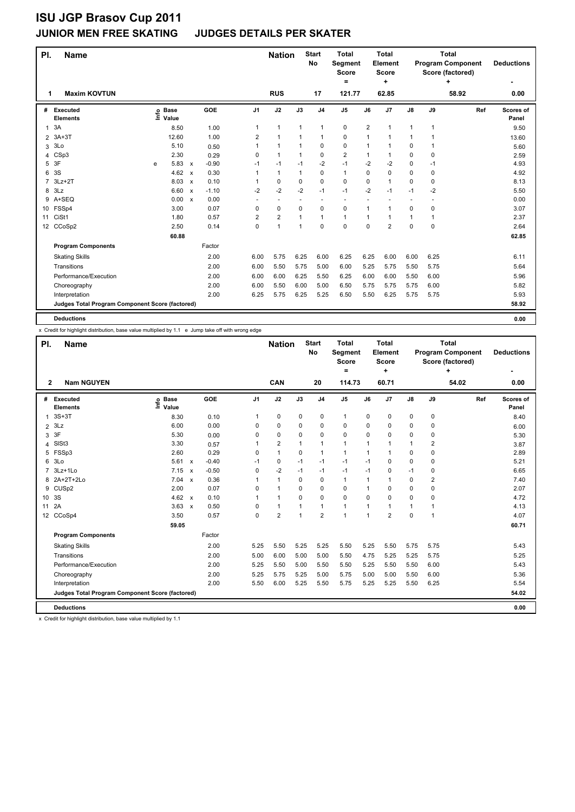### **JUNIOR MEN FREE SKATING JUDGES DETAILS PER SKATER**

| PI.            | <b>Name</b>                                     |      |                      |                           |         |                | <b>Nation</b>            |                          | <b>Start</b><br>No       | <b>Total</b><br>Segment<br><b>Score</b><br>= |                | <b>Total</b><br><b>Element</b><br>Score<br>٠ |               |              | <b>Total</b><br><b>Program Component</b><br>Score (factored)<br>٠ | <b>Deductions</b>  |
|----------------|-------------------------------------------------|------|----------------------|---------------------------|---------|----------------|--------------------------|--------------------------|--------------------------|----------------------------------------------|----------------|----------------------------------------------|---------------|--------------|-------------------------------------------------------------------|--------------------|
| 1              | <b>Maxim KOVTUN</b>                             |      |                      |                           |         |                | <b>RUS</b>               |                          | 17                       | 121.77                                       |                | 62.85                                        |               |              | 58.92                                                             | 0.00               |
| #              | Executed<br><b>Elements</b>                     | lnfo | <b>Base</b><br>Value |                           | GOE     | J <sub>1</sub> | J2                       | J3                       | J <sub>4</sub>           | J <sub>5</sub>                               | J6             | J <sub>7</sub>                               | $\mathsf{J}8$ | J9           | Ref                                                               | Scores of<br>Panel |
| $\mathbf{1}$   | 3A                                              |      | 8.50                 |                           | 1.00    | 1              | $\mathbf{1}$             | $\mathbf{1}$             | $\mathbf{1}$             | $\pmb{0}$                                    | $\overline{2}$ | 1                                            | 1             | $\mathbf{1}$ |                                                                   | 9.50               |
| $\overline{2}$ | $3A+3T$                                         |      | 12.60                |                           | 1.00    | 2              | $\mathbf{1}$             |                          | $\mathbf{1}$             | 0                                            | 1              |                                              | 1             |              |                                                                   | 13.60              |
| 3              | 3Lo                                             |      | 5.10                 |                           | 0.50    | 1              | $\mathbf{1}$             |                          | $\mathbf 0$              | 0                                            | 1              | 1                                            | 0             | 1            |                                                                   | 5.60               |
| 4              | CSp3                                            |      | 2.30                 |                           | 0.29    | 0              | $\mathbf{1}$             |                          | $\mathbf 0$              | $\overline{2}$                               |                | 1                                            | 0             | 0            |                                                                   | 2.59               |
| 5              | 3F                                              | e    | 5.83                 | $\boldsymbol{\mathsf{x}}$ | $-0.90$ | $-1$           | $-1$                     | $-1$                     | $-2$                     | $-1$                                         | $-2$           | $-2$                                         | 0             | $-1$         |                                                                   | 4.93               |
| 6              | 3S                                              |      | 4.62                 | $\boldsymbol{\mathsf{x}}$ | 0.30    | 1              | $\mathbf{1}$             | 1                        | $\mathbf 0$              | $\mathbf{1}$                                 | $\Omega$       | $\Omega$                                     | 0             | 0            |                                                                   | 4.92               |
| $\overline{7}$ | $3Lz + 2T$                                      |      | 8.03                 | $\mathsf{x}$              | 0.10    | 1              | 0                        | $\Omega$                 | 0                        | 0                                            | 0              | $\overline{1}$                               | 0             | 0            |                                                                   | 8.13               |
| 8              | 3Lz                                             |      | 6.60                 | $\boldsymbol{\mathsf{x}}$ | $-1.10$ | $-2$           | $-2$                     | $-2$                     | $-1$                     | $-1$                                         | $-2$           | $-1$                                         | $-1$          | $-2$         |                                                                   | 5.50               |
| 9              | A+SEQ                                           |      | 0.00                 | $\mathsf{x}$              | 0.00    | ٠              | $\overline{\phantom{a}}$ | $\overline{\phantom{a}}$ | $\overline{\phantom{a}}$ | $\overline{\phantom{a}}$                     |                |                                              |               |              |                                                                   | 0.00               |
| 10             | FSSp4                                           |      | 3.00                 |                           | 0.07    | 0              | $\pmb{0}$                | 0                        | $\mathbf 0$              | 0                                            | 1              | 1                                            | 0             | 0            |                                                                   | 3.07               |
| 11             | CiSt1                                           |      | 1.80                 |                           | 0.57    | 2              | $\overline{2}$           | 1                        | $\mathbf{1}$             | $\mathbf{1}$                                 | 1              | 1                                            | 1             | 1            |                                                                   | 2.37               |
|                | 12 CCoSp2                                       |      | 2.50                 |                           | 0.14    | $\Omega$       | $\mathbf{1}$             | $\overline{1}$           | $\mathbf 0$              | $\mathbf 0$                                  | $\Omega$       | $\overline{2}$                               | 0             | 0            |                                                                   | 2.64               |
|                |                                                 |      | 60.88                |                           |         |                |                          |                          |                          |                                              |                |                                              |               |              |                                                                   | 62.85              |
|                | <b>Program Components</b>                       |      |                      |                           | Factor  |                |                          |                          |                          |                                              |                |                                              |               |              |                                                                   |                    |
|                | <b>Skating Skills</b>                           |      |                      |                           | 2.00    | 6.00           | 5.75                     | 6.25                     | 6.00                     | 6.25                                         | 6.25           | 6.00                                         | 6.00          | 6.25         |                                                                   | 6.11               |
|                | Transitions                                     |      |                      |                           | 2.00    | 6.00           | 5.50                     | 5.75                     | 5.00                     | 6.00                                         | 5.25           | 5.75                                         | 5.50          | 5.75         |                                                                   | 5.64               |
|                | Performance/Execution                           |      |                      |                           | 2.00    | 6.00           | 6.00                     | 6.25                     | 5.50                     | 6.25                                         | 6.00           | 6.00                                         | 5.50          | 6.00         |                                                                   | 5.96               |
|                | Choreography                                    |      |                      |                           | 2.00    | 6.00           | 5.50                     | 6.00                     | 5.00                     | 6.50                                         | 5.75           | 5.75                                         | 5.75          | 6.00         |                                                                   | 5.82               |
|                | Interpretation                                  |      |                      |                           | 2.00    | 6.25           | 5.75                     | 6.25                     | 5.25                     | 6.50                                         | 5.50           | 6.25                                         | 5.75          | 5.75         |                                                                   | 5.93               |
|                | Judges Total Program Component Score (factored) |      |                      |                           |         |                |                          |                          |                          |                                              |                |                                              |               |              |                                                                   | 58.92              |
|                | <b>Deductions</b>                               |      |                      |                           |         |                |                          |                          |                          |                                              |                |                                              |               |              |                                                                   | 0.00               |

x Credit for highlight distribution, base value multiplied by 1.1 e Jump take off with wrong edge

| PI.             | <b>Name</b>                                     |                           |                           |         |                | <b>Nation</b>  |                | <b>Start</b><br><b>No</b> | <b>Total</b><br>Segment<br><b>Score</b><br>= |      | <b>Total</b><br><b>Element</b><br><b>Score</b><br>÷ |               |                | <b>Total</b><br><b>Program Component</b><br>Score (factored)<br>۰ | <b>Deductions</b>  |
|-----------------|-------------------------------------------------|---------------------------|---------------------------|---------|----------------|----------------|----------------|---------------------------|----------------------------------------------|------|-----------------------------------------------------|---------------|----------------|-------------------------------------------------------------------|--------------------|
| $\mathbf{2}$    | <b>Nam NGUYEN</b>                               |                           |                           |         |                | <b>CAN</b>     |                | 20                        | 114.73                                       |      | 60.71                                               |               |                | 54.02                                                             | 0.00               |
| #               | Executed<br><b>Elements</b>                     | <b>Base</b><br>e<br>Value |                           | GOE     | J <sub>1</sub> | J2             | J3             | J <sub>4</sub>            | J <sub>5</sub>                               | J6   | J7                                                  | $\mathsf{J}8$ | J9             | Ref                                                               | Scores of<br>Panel |
| 1               | $3S+3T$                                         | 8.30                      |                           | 0.10    | 1              | $\pmb{0}$      | 0              | $\pmb{0}$                 | $\mathbf{1}$                                 | 0    | 0                                                   | 0             | 0              |                                                                   | 8.40               |
| $\overline{2}$  | 3Lz                                             | 6.00                      |                           | 0.00    | 0              | $\mathbf 0$    | 0              | 0                         | $\mathbf 0$                                  | 0    | 0                                                   | 0             | 0              |                                                                   | 6.00               |
| 3               | 3F                                              | 5.30                      |                           | 0.00    | 0              | $\mathbf 0$    | 0              | 0                         | 0                                            | 0    | 0                                                   | 0             | 0              |                                                                   | 5.30               |
| 4               | SISt <sub>3</sub>                               | 3.30                      |                           | 0.57    |                | $\overline{2}$ | $\mathbf{1}$   | $\mathbf{1}$              | $\mathbf{1}$                                 | 1    | 1                                                   | $\mathbf{1}$  | 2              |                                                                   | 3.87               |
| 5               | FSSp3                                           | 2.60                      |                           | 0.29    | 0              | $\mathbf{1}$   | $\Omega$       | $\mathbf{1}$              | $\mathbf{1}$                                 | 1    | 1                                                   | 0             | $\Omega$       |                                                                   | 2.89               |
| 6               | 3Lo                                             | 5.61                      | $\pmb{\chi}$              | $-0.40$ | $-1$           | $\pmb{0}$      | $-1$           | $-1$                      | $-1$                                         | $-1$ | 0                                                   | 0             | 0              |                                                                   | 5.21               |
| $\overline{7}$  | 3Lz+1Lo                                         | 7.15                      | $\boldsymbol{\mathsf{x}}$ | $-0.50$ | 0              | $-2$           | $-1$           | $-1$                      | $-1$                                         | $-1$ | 0                                                   | $-1$          | 0              |                                                                   | 6.65               |
| 8               | 2A+2T+2Lo                                       | 7.04                      | $\mathbf{x}$              | 0.36    |                | $\mathbf{1}$   | $\Omega$       | $\mathbf 0$               | $\mathbf{1}$                                 | 1    | 1                                                   | 0             | $\overline{2}$ |                                                                   | 7.40               |
| 9               | CUS <sub>p2</sub>                               | 2.00                      |                           | 0.07    | 0              | $\overline{1}$ | $\Omega$       | 0                         | 0                                            | 1    | 0                                                   | 0             | 0              |                                                                   | 2.07               |
| 10 <sup>°</sup> | 3S                                              | 4.62                      | $\boldsymbol{\mathsf{x}}$ | 0.10    |                | $\mathbf{1}$   | $\Omega$       | $\Omega$                  | $\Omega$                                     | 0    | 0                                                   | $\Omega$      | 0              |                                                                   | 4.72               |
| 11              | 2A                                              | 3.63                      | $\mathsf{x}$              | 0.50    | 0              | $\mathbf{1}$   | 1              | $\mathbf{1}$              | $\mathbf{1}$                                 | 1    | 1                                                   | 1             | 1              |                                                                   | 4.13               |
|                 | 12 CCoSp4                                       | 3.50                      |                           | 0.57    | 0              | $\overline{2}$ | $\overline{1}$ | $\overline{2}$            | $\blacktriangleleft$                         | 1    | $\overline{2}$                                      | 0             | $\overline{1}$ |                                                                   | 4.07               |
|                 |                                                 | 59.05                     |                           |         |                |                |                |                           |                                              |      |                                                     |               |                |                                                                   | 60.71              |
|                 | <b>Program Components</b>                       |                           |                           | Factor  |                |                |                |                           |                                              |      |                                                     |               |                |                                                                   |                    |
|                 | <b>Skating Skills</b>                           |                           |                           | 2.00    | 5.25           | 5.50           | 5.25           | 5.25                      | 5.50                                         | 5.25 | 5.50                                                | 5.75          | 5.75           |                                                                   | 5.43               |
|                 | Transitions                                     |                           |                           | 2.00    | 5.00           | 6.00           | 5.00           | 5.00                      | 5.50                                         | 4.75 | 5.25                                                | 5.25          | 5.75           |                                                                   | 5.25               |
|                 | Performance/Execution                           |                           |                           | 2.00    | 5.25           | 5.50           | 5.00           | 5.50                      | 5.50                                         | 5.25 | 5.50                                                | 5.50          | 6.00           |                                                                   | 5.43               |
|                 | Choreography                                    |                           |                           | 2.00    | 5.25           | 5.75           | 5.25           | 5.00                      | 5.75                                         | 5.00 | 5.00                                                | 5.50          | 6.00           |                                                                   | 5.36               |
|                 | Interpretation                                  |                           |                           | 2.00    | 5.50           | 6.00           | 5.25           | 5.50                      | 5.75                                         | 5.25 | 5.25                                                | 5.50          | 6.25           |                                                                   | 5.54               |
|                 | Judges Total Program Component Score (factored) |                           |                           |         |                |                |                |                           |                                              |      |                                                     |               |                |                                                                   | 54.02              |
|                 | <b>Deductions</b>                               |                           |                           |         |                |                |                |                           |                                              |      |                                                     |               |                |                                                                   | 0.00               |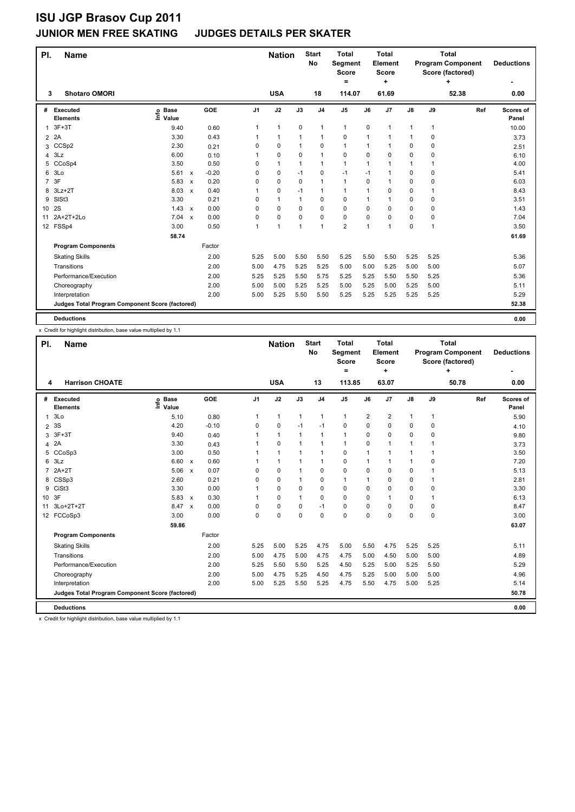### **JUNIOR MEN FREE SKATING JUDGES DETAILS PER SKATER**

| PI.             | <b>Name</b>                                     |                              |                           |         |                | <b>Nation</b>  |                | <b>Start</b><br><b>No</b> | <b>Total</b><br>Segment<br><b>Score</b><br>= |              | <b>Total</b><br>Element<br>Score<br>٠ |               |      | <b>Total</b><br><b>Program Component</b><br>Score (factored)<br>٠ | <b>Deductions</b>  |
|-----------------|-------------------------------------------------|------------------------------|---------------------------|---------|----------------|----------------|----------------|---------------------------|----------------------------------------------|--------------|---------------------------------------|---------------|------|-------------------------------------------------------------------|--------------------|
| 3               | <b>Shotaro OMORI</b>                            |                              |                           |         |                | <b>USA</b>     |                | 18                        | 114.07                                       |              | 61.69                                 |               |      | 52.38                                                             | 0.00               |
| #               | Executed<br><b>Elements</b>                     | <b>Base</b><br>١ifo<br>Value |                           | GOE     | J <sub>1</sub> | J2             | J3             | J <sub>4</sub>            | J <sub>5</sub>                               | J6           | J7                                    | $\mathsf{J}8$ | J9   | Ref                                                               | Scores of<br>Panel |
| 1               | $3F+3T$                                         | 9.40                         |                           | 0.60    | 1              | $\mathbf{1}$   | $\pmb{0}$      | $\mathbf{1}$              | $\mathbf{1}$                                 | 0            | 1                                     | 1             | 1    |                                                                   | 10.00              |
| $\overline{2}$  | 2A                                              | 3.30                         |                           | 0.43    | 1              | $\mathbf{1}$   | $\overline{1}$ | $\mathbf{1}$              | $\mathbf 0$                                  | 1            | 1                                     | 1             | 0    |                                                                   | 3.73               |
| 3               | CCS <sub>p2</sub>                               | 2.30                         |                           | 0.21    | 0              | $\mathbf 0$    | 1              | $\mathbf 0$               | $\mathbf{1}$                                 | 1            | 1                                     | 0             | 0    |                                                                   | 2.51               |
| 4               | 3Lz                                             | 6.00                         |                           | 0.10    | 1              | 0              | 0              | $\mathbf{1}$              | 0                                            | 0            | 0                                     | 0             | 0    |                                                                   | 6.10               |
| 5               | CCoSp4                                          | 3.50                         |                           | 0.50    | 0              | $\mathbf{1}$   | $\mathbf{1}$   | $\mathbf{1}$              | $\mathbf{1}$                                 | 1            | 1                                     | 1             | 1    |                                                                   | 4.00               |
| 6               | 3Lo                                             | 5.61                         | $\mathsf{x}$              | $-0.20$ | 0              | 0              | $-1$           | 0                         | $-1$                                         | $-1$         | 1                                     | 0             | 0    |                                                                   | 5.41               |
| $\overline{7}$  | 3F                                              | 5.83                         | $\boldsymbol{\mathsf{x}}$ | 0.20    | 0              | $\mathbf 0$    | 0              | $\overline{1}$            | $\mathbf{1}$                                 | 0            | 1                                     | 0             | 0    |                                                                   | 6.03               |
| 8               | $3Lz + 2T$                                      | 8.03                         | $\mathsf{x}$              | 0.40    | 1              | 0              | $-1$           | $\mathbf{1}$              | $\mathbf{1}$                                 | 1            | $\Omega$                              | 0             | 1    |                                                                   | 8.43               |
| 9               | SIS <sub>t3</sub>                               | 3.30                         |                           | 0.21    | 0              | $\overline{1}$ | $\mathbf 1$    | 0                         | 0                                            | $\mathbf{1}$ | 1                                     | 0             | 0    |                                                                   | 3.51               |
| 10 <sup>1</sup> | 2S                                              | 1.43                         | $\mathsf{x}$              | 0.00    | 0              | $\mathbf 0$    | $\Omega$       | $\mathbf 0$               | 0                                            | 0            | 0                                     | 0             | 0    |                                                                   | 1.43               |
| 11              | 2A+2T+2Lo                                       | 7.04                         | $\boldsymbol{\mathsf{x}}$ | 0.00    | 0              | $\mathbf 0$    | 0              | $\mathbf 0$               | $\mathbf 0$                                  | 0            | 0                                     | 0             | 0    |                                                                   | 7.04               |
|                 | 12 FSSp4                                        | 3.00                         |                           | 0.50    | 1              | $\overline{1}$ | $\overline{1}$ | $\mathbf{1}$              | $\overline{2}$                               | $\mathbf 1$  | 1                                     | 0             | 1    |                                                                   | 3.50               |
|                 |                                                 | 58.74                        |                           |         |                |                |                |                           |                                              |              |                                       |               |      |                                                                   | 61.69              |
|                 | <b>Program Components</b>                       |                              |                           | Factor  |                |                |                |                           |                                              |              |                                       |               |      |                                                                   |                    |
|                 | <b>Skating Skills</b>                           |                              |                           | 2.00    | 5.25           | 5.00           | 5.50           | 5.50                      | 5.25                                         | 5.50         | 5.50                                  | 5.25          | 5.25 |                                                                   | 5.36               |
|                 | Transitions                                     |                              |                           | 2.00    | 5.00           | 4.75           | 5.25           | 5.25                      | 5.00                                         | 5.00         | 5.25                                  | 5.00          | 5.00 |                                                                   | 5.07               |
|                 | Performance/Execution                           |                              |                           | 2.00    | 5.25           | 5.25           | 5.50           | 5.75                      | 5.25                                         | 5.25         | 5.50                                  | 5.50          | 5.25 |                                                                   | 5.36               |
|                 | Choreography                                    |                              |                           | 2.00    | 5.00           | 5.00           | 5.25           | 5.25                      | 5.00                                         | 5.25         | 5.00                                  | 5.25          | 5.00 |                                                                   | 5.11               |
|                 | Interpretation                                  |                              |                           | 2.00    | 5.00           | 5.25           | 5.50           | 5.50                      | 5.25                                         | 5.25         | 5.25                                  | 5.25          | 5.25 |                                                                   | 5.29               |
|                 | Judges Total Program Component Score (factored) |                              |                           |         |                |                |                |                           |                                              |              |                                       |               |      |                                                                   | 52.38              |
|                 | <b>Deductions</b>                               |                              |                           |         |                |                |                |                           |                                              |              |                                       |               |      |                                                                   | 0.00               |

x Credit for highlight distribution, base value multiplied by 1.1

| PI.             | <b>Name</b>                                     |                              |                           |            |                | <b>Nation</b> |              | <b>Start</b><br>No | <b>Total</b><br>Segment<br><b>Score</b><br>= |                | <b>Total</b><br>Element<br><b>Score</b><br>٠ |              |              | <b>Total</b><br><b>Program Component</b><br>Score (factored)<br>4 | <b>Deductions</b>  |
|-----------------|-------------------------------------------------|------------------------------|---------------------------|------------|----------------|---------------|--------------|--------------------|----------------------------------------------|----------------|----------------------------------------------|--------------|--------------|-------------------------------------------------------------------|--------------------|
| 4               | <b>Harrison CHOATE</b>                          |                              |                           |            |                | <b>USA</b>    |              | 13                 | 113.85                                       |                | 63.07                                        |              |              | 50.78                                                             | 0.00               |
| #               | Executed<br><b>Elements</b>                     | <b>Base</b><br>١nf٥<br>Value |                           | <b>GOE</b> | J <sub>1</sub> | J2            | J3           | J <sub>4</sub>     | J <sub>5</sub>                               | J6             | J <sub>7</sub>                               | J8           | J9           | Ref                                                               | Scores of<br>Panel |
| 1               | 3Lo                                             | 5.10                         |                           | 0.80       | 1              | $\mathbf{1}$  | $\mathbf{1}$ | $\mathbf{1}$       | $\mathbf{1}$                                 | $\overline{2}$ | $\overline{\mathbf{c}}$                      | $\mathbf{1}$ | $\mathbf{1}$ |                                                                   | 5.90               |
| $\overline{2}$  | 3S                                              | 4.20                         |                           | $-0.10$    | 0              | 0             | $-1$         | $-1$               | 0                                            | 0              | 0                                            | 0            | 0            |                                                                   | 4.10               |
| 3               | $3F+3T$                                         | 9.40                         |                           | 0.40       |                | $\mathbf{1}$  | $\mathbf{1}$ | $\mathbf{1}$       | 1                                            | 0              | 0                                            | 0            | 0            |                                                                   | 9.80               |
| 4               | 2A                                              | 3.30                         |                           | 0.43       | 1              | 0             | $\mathbf{1}$ | $\mathbf{1}$       | 1                                            | 0              | $\mathbf{1}$                                 | $\mathbf{1}$ | 1            |                                                                   | 3.73               |
| 5               | CCoSp3                                          | 3.00                         |                           | 0.50       | 1              | $\mathbf{1}$  | $\mathbf{1}$ | $\mathbf{1}$       | 0                                            | 1              | $\mathbf{1}$                                 | 1            | 1            |                                                                   | 3.50               |
| 6               | 3Lz                                             | 6.60                         | $\boldsymbol{\mathsf{x}}$ | 0.60       |                | $\mathbf{1}$  | 1            | $\mathbf{1}$       | 0                                            | 1              | 1                                            | 1            | 0            |                                                                   | 7.20               |
| 7               | $2A+2T$                                         | 5.06                         | $\boldsymbol{\mathsf{x}}$ | 0.07       | $\Omega$       | $\mathbf 0$   | 1            | $\mathbf 0$        | 0                                            | 0              | 0                                            | 0            | $\mathbf 1$  |                                                                   | 5.13               |
| 8               | CSSp3                                           | 2.60                         |                           | 0.21       | $\Omega$       | 0             | $\mathbf{1}$ | $\mathbf 0$        | 1                                            | 1              | 0                                            | 0            | $\mathbf{1}$ |                                                                   | 2.81               |
| 9               | CiSt <sub>3</sub>                               | 3.30                         |                           | 0.00       | 1              | 0             | 0            | $\Omega$           | 0                                            | 0              | 0                                            | 0            | 0            |                                                                   | 3.30               |
| 10 <sup>°</sup> | 3F                                              | 5.83                         | $\boldsymbol{\mathsf{x}}$ | 0.30       | 1              | 0             | 1            | $\Omega$           | 0                                            | 0              | 1                                            | 0            | 1            |                                                                   | 6.13               |
| 11              | 3Lo+2T+2T                                       | 8.47                         | $\boldsymbol{\mathsf{x}}$ | 0.00       | $\Omega$       | 0             | 0            | $-1$               | 0                                            | 0              | 0                                            | 0            | $\mathbf 0$  |                                                                   | 8.47               |
|                 | 12 FCCoSp3                                      | 3.00                         |                           | 0.00       | $\Omega$       | $\Omega$      | 0            | $\Omega$           | $\Omega$                                     | 0              | 0                                            | 0            | 0            |                                                                   | 3.00               |
|                 |                                                 | 59.86                        |                           |            |                |               |              |                    |                                              |                |                                              |              |              |                                                                   | 63.07              |
|                 | <b>Program Components</b>                       |                              |                           | Factor     |                |               |              |                    |                                              |                |                                              |              |              |                                                                   |                    |
|                 | <b>Skating Skills</b>                           |                              |                           | 2.00       | 5.25           | 5.00          | 5.25         | 4.75               | 5.00                                         | 5.50           | 4.75                                         | 5.25         | 5.25         |                                                                   | 5.11               |
|                 | Transitions                                     |                              |                           | 2.00       | 5.00           | 4.75          | 5.00         | 4.75               | 4.75                                         | 5.00           | 4.50                                         | 5.00         | 5.00         |                                                                   | 4.89               |
|                 | Performance/Execution                           |                              |                           | 2.00       | 5.25           | 5.50          | 5.50         | 5.25               | 4.50                                         | 5.25           | 5.00                                         | 5.25         | 5.50         |                                                                   | 5.29               |
|                 | Choreography                                    |                              |                           | 2.00       | 5.00           | 4.75          | 5.25         | 4.50               | 4.75                                         | 5.25           | 5.00                                         | 5.00         | 5.00         |                                                                   | 4.96               |
|                 | Interpretation                                  |                              |                           | 2.00       | 5.00           | 5.25          | 5.50         | 5.25               | 4.75                                         | 5.50           | 4.75                                         | 5.00         | 5.25         |                                                                   | 5.14               |
|                 | Judges Total Program Component Score (factored) |                              |                           |            |                |               |              |                    |                                              |                |                                              |              |              |                                                                   | 50.78              |
|                 | <b>Deductions</b>                               |                              |                           |            |                |               |              |                    |                                              |                |                                              |              |              |                                                                   | 0.00               |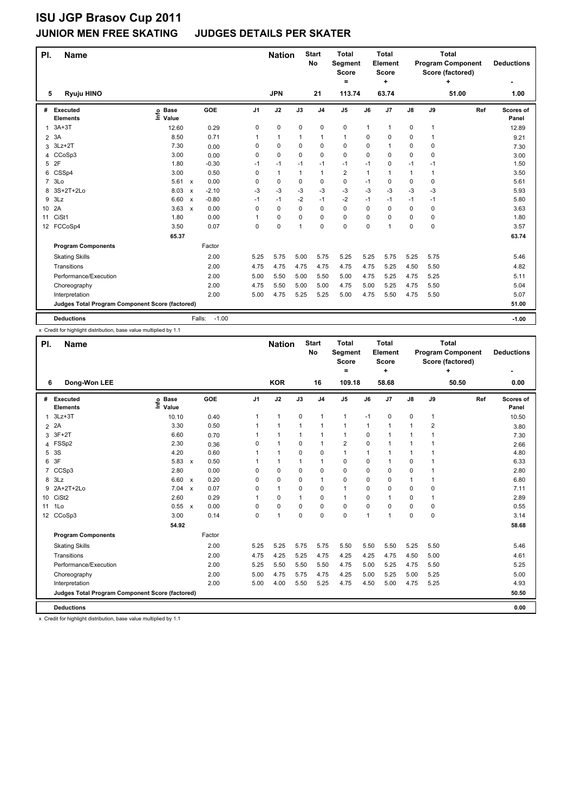# **ISU JGP Brasov Cup 2011**<br>JUNIOR MEN FREE SKATING

#### **JUDGES DETAILS PER SKATER**

| PI.            | <b>Name</b>                                     |                              |                           |                   |                | <b>Nation</b> |          | <b>Start</b><br>No | <b>Total</b><br>Segment<br>Score<br>= |          | <b>Total</b><br><b>Element</b><br>Score<br>٠ |               |      | <b>Total</b><br><b>Program Component</b><br>Score (factored)<br>٠ | <b>Deductions</b>  |
|----------------|-------------------------------------------------|------------------------------|---------------------------|-------------------|----------------|---------------|----------|--------------------|---------------------------------------|----------|----------------------------------------------|---------------|------|-------------------------------------------------------------------|--------------------|
| 5              | Ryuju HINO                                      |                              |                           |                   |                | <b>JPN</b>    |          | 21                 | 113.74                                |          | 63.74                                        |               |      | 51.00                                                             | 1.00               |
| #              | Executed<br><b>Elements</b>                     | <b>Base</b><br>lnfo<br>Value |                           | GOE               | J <sub>1</sub> | J2            | J3       | J <sub>4</sub>     | J <sub>5</sub>                        | J6       | J <sub>7</sub>                               | $\mathsf{J}8$ | J9   | Ref                                                               | Scores of<br>Panel |
| 1              | $3A+3T$                                         | 12.60                        |                           | 0.29              | 0              | $\pmb{0}$     | 0        | $\mathbf 0$        | $\pmb{0}$                             | 1        | 1                                            | 0             | 1    |                                                                   | 12.89              |
| $\overline{2}$ | 3A                                              | 8.50                         |                           | 0.71              | 1              | $\mathbf{1}$  | 1        | $\mathbf{1}$       | $\mathbf{1}$                          | 0        | 0                                            | 0             | 1    |                                                                   | 9.21               |
| 3              | $3Lz + 2T$                                      | 7.30                         |                           | 0.00              | 0              | $\mathbf 0$   | 0        | $\mathbf 0$        | 0                                     | 0        | 1                                            | 0             | 0    |                                                                   | 7.30               |
| 4              | CCoSp3                                          | 3.00                         |                           | 0.00              | 0              | $\mathbf 0$   | $\Omega$ | $\mathbf 0$        | $\mathbf 0$                           | 0        | 0                                            | 0             | 0    |                                                                   | 3.00               |
| 5              | 2F                                              | 1.80                         |                           | $-0.30$           | $-1$           | $-1$          | $-1$     | $-1$               | $-1$                                  | $-1$     | 0                                            | $-1$          | $-1$ |                                                                   | 1.50               |
| 6              | CSSp4                                           | 3.00                         |                           | 0.50              | 0              | $\mathbf{1}$  | 1        | $\mathbf{1}$       | $\overline{\mathbf{c}}$               | 1        | 1                                            | 1             | 1    |                                                                   | 3.50               |
| $\overline{7}$ | 3Lo                                             | 5.61                         | $\mathbf{x}$              | 0.00              | 0              | 0             | $\Omega$ | 0                  | 0                                     | $-1$     | 0                                            | 0             | 0    |                                                                   | 5.61               |
| 8              | 3S+2T+2Lo                                       | 8.03                         | $\boldsymbol{\mathsf{x}}$ | $-2.10$           | -3             | $-3$          | -3       | $-3$               | $-3$                                  | $-3$     | $-3$                                         | $-3$          | $-3$ |                                                                   | 5.93               |
| 9              | 3Lz                                             | 6.60                         | $\boldsymbol{\mathsf{x}}$ | $-0.80$           | $-1$           | $-1$          | -2       | $-1$               | $-2$                                  | $-1$     | $-1$                                         | $-1$          | $-1$ |                                                                   | 5.80               |
| 10             | 2A                                              | 3.63                         | $\mathsf{x}$              | 0.00              | 0              | $\pmb{0}$     | 0        | $\mathbf 0$        | 0                                     | 0        | 0                                            | 0             | 0    |                                                                   | 3.63               |
| 11             | CiSt1                                           | 1.80                         |                           | 0.00              | 1              | 0             | 0        | 0                  | 0                                     | $\Omega$ | $\Omega$                                     | 0             | 0    |                                                                   | 1.80               |
|                | 12 FCCoSp4                                      | 3.50                         |                           | 0.07              | 0              | $\mathbf 0$   | 1        | $\mathbf 0$        | 0                                     | $\Omega$ | 1                                            | 0             | 0    |                                                                   | 3.57               |
|                |                                                 | 65.37                        |                           |                   |                |               |          |                    |                                       |          |                                              |               |      |                                                                   | 63.74              |
|                | <b>Program Components</b>                       |                              |                           | Factor            |                |               |          |                    |                                       |          |                                              |               |      |                                                                   |                    |
|                | <b>Skating Skills</b>                           |                              |                           | 2.00              | 5.25           | 5.75          | 5.00     | 5.75               | 5.25                                  | 5.25     | 5.75                                         | 5.25          | 5.75 |                                                                   | 5.46               |
|                | Transitions                                     |                              |                           | 2.00              | 4.75           | 4.75          | 4.75     | 4.75               | 4.75                                  | 4.75     | 5.25                                         | 4.50          | 5.50 |                                                                   | 4.82               |
|                | Performance/Execution                           |                              |                           | 2.00              | 5.00           | 5.50          | 5.00     | 5.50               | 5.00                                  | 4.75     | 5.25                                         | 4.75          | 5.25 |                                                                   | 5.11               |
|                | Choreography                                    |                              |                           | 2.00              | 4.75           | 5.50          | 5.00     | 5.00               | 4.75                                  | 5.00     | 5.25                                         | 4.75          | 5.50 |                                                                   | 5.04               |
|                | Interpretation                                  |                              |                           | 2.00              | 5.00           | 4.75          | 5.25     | 5.25               | 5.00                                  | 4.75     | 5.50                                         | 4.75          | 5.50 |                                                                   | 5.07               |
|                | Judges Total Program Component Score (factored) |                              |                           |                   |                |               |          |                    |                                       |          |                                              |               |      |                                                                   | 51.00              |
|                | <b>Deductions</b>                               |                              |                           | $-1.00$<br>Falls: |                |               |          |                    |                                       |          |                                              |               |      |                                                                   | $-1.00$            |

x Credit for highlight distribution, base value multiplied by 1.1

| PI.            | <b>Name</b>                                     |                            |                           |            |                | <b>Nation</b> |              | <b>Start</b><br><b>No</b> | <b>Total</b><br>Segment<br><b>Score</b><br>$=$ |          | <b>Total</b><br>Element<br><b>Score</b><br>÷ |               |                | <b>Total</b><br><b>Program Component</b><br>Score (factored)<br>÷ | <b>Deductions</b>  |
|----------------|-------------------------------------------------|----------------------------|---------------------------|------------|----------------|---------------|--------------|---------------------------|------------------------------------------------|----------|----------------------------------------------|---------------|----------------|-------------------------------------------------------------------|--------------------|
| 6              | Dong-Won LEE                                    |                            |                           |            |                | <b>KOR</b>    |              | 16                        | 109.18                                         |          | 58.68                                        |               |                | 50.50                                                             | 0.00               |
| #              | Executed<br><b>Elements</b>                     | <b>Base</b><br>۴ů<br>Value |                           | <b>GOE</b> | J <sub>1</sub> | J2            | J3           | J <sub>4</sub>            | J <sub>5</sub>                                 | J6       | J <sub>7</sub>                               | $\mathsf{J}8$ | J9             | Ref                                                               | Scores of<br>Panel |
| 1              | $3Lz + 3T$                                      | 10.10                      |                           | 0.40       | $\mathbf{1}$   | $\mathbf{1}$  | 0            | 1                         | 1                                              | $-1$     | 0                                            | 0             | $\mathbf{1}$   |                                                                   | 10.50              |
| $\overline{2}$ | 2A                                              | 3.30                       |                           | 0.50       | 1              | $\mathbf{1}$  | $\mathbf{1}$ | 1                         | 1                                              | 1        | 1                                            | 1             | $\overline{2}$ |                                                                   | 3.80               |
| 3              | $3F+2T$                                         | 6.60                       |                           | 0.70       | 1              | $\mathbf{1}$  | $\mathbf{1}$ | $\mathbf{1}$              | $\mathbf{1}$                                   | $\Omega$ | 1                                            | 1             | $\mathbf{1}$   |                                                                   | 7.30               |
|                | 4 FSSp2                                         | 2.30                       |                           | 0.36       | 0              | $\mathbf{1}$  | 0            | $\mathbf{1}$              | $\overline{\mathbf{c}}$                        | 0        | 1                                            | 1             | 1              |                                                                   | 2.66               |
| 5              | 3S                                              | 4.20                       |                           | 0.60       | 1              | $\mathbf{1}$  | 0            | $\mathbf 0$               | $\mathbf{1}$                                   | 1        | 1                                            | 1             | 1              |                                                                   | 4.80               |
| 6              | 3F                                              | 5.83                       | $\mathsf{x}$              | 0.50       | 1              | $\mathbf{1}$  | 1            | $\mathbf{1}$              | 0                                              | 0        | 1                                            | 0             | 1              |                                                                   | 6.33               |
| 7              | CCSp3                                           | 2.80                       |                           | 0.00       | 0              | 0             | 0            | $\mathbf 0$               | 0                                              | 0        | 0                                            | 0             | 1              |                                                                   | 2.80               |
| 8              | 3Lz                                             | 6.60                       | $\boldsymbol{\mathsf{x}}$ | 0.20       | $\Omega$       | 0             | 0            | $\mathbf{1}$              | $\Omega$                                       | 0        | 0                                            | 1             | 1              |                                                                   | 6.80               |
| 9              | 2A+2T+2Lo                                       | 7.04                       | $\boldsymbol{\mathsf{x}}$ | 0.07       | 0              | $\mathbf{1}$  | 0            | $\mathbf 0$               | 1                                              | 0        | 0                                            | 0             | 0              |                                                                   | 7.11               |
|                | 10 CiSt2                                        | 2.60                       |                           | 0.29       | 1              | $\Omega$      | 1            | $\Omega$                  | $\mathbf{1}$                                   | 0        | 1                                            | 0             | 1              |                                                                   | 2.89               |
| 11             | 1 <sub>0</sub>                                  | 0.55 x                     |                           | 0.00       | $\Omega$       | $\Omega$      | 0            | $\Omega$                  | 0                                              | 0        | $\Omega$                                     | 0             | $\Omega$       |                                                                   | 0.55               |
|                | 12 CCoSp3                                       | 3.00                       |                           | 0.14       | 0              | $\mathbf{1}$  | 0            | $\mathbf 0$               | 0                                              | 1        | 1                                            | 0             | $\mathbf 0$    |                                                                   | 3.14               |
|                |                                                 | 54.92                      |                           |            |                |               |              |                           |                                                |          |                                              |               |                |                                                                   | 58.68              |
|                | <b>Program Components</b>                       |                            |                           | Factor     |                |               |              |                           |                                                |          |                                              |               |                |                                                                   |                    |
|                | <b>Skating Skills</b>                           |                            |                           | 2.00       | 5.25           | 5.25          | 5.75         | 5.75                      | 5.50                                           | 5.50     | 5.50                                         | 5.25          | 5.50           |                                                                   | 5.46               |
|                | Transitions                                     |                            |                           | 2.00       | 4.75           | 4.25          | 5.25         | 4.75                      | 4.25                                           | 4.25     | 4.75                                         | 4.50          | 5.00           |                                                                   | 4.61               |
|                | Performance/Execution                           |                            |                           | 2.00       | 5.25           | 5.50          | 5.50         | 5.50                      | 4.75                                           | 5.00     | 5.25                                         | 4.75          | 5.50           |                                                                   | 5.25               |
|                | Choreography                                    |                            |                           | 2.00       | 5.00           | 4.75          | 5.75         | 4.75                      | 4.25                                           | 5.00     | 5.25                                         | 5.00          | 5.25           |                                                                   | 5.00               |
|                | Interpretation                                  |                            |                           | 2.00       | 5.00           | 4.00          | 5.50         | 5.25                      | 4.75                                           | 4.50     | 5.00                                         | 4.75          | 5.25           |                                                                   | 4.93               |
|                | Judges Total Program Component Score (factored) |                            |                           |            |                |               |              |                           |                                                |          |                                              |               |                |                                                                   | 50.50              |
|                | <b>Deductions</b>                               |                            |                           |            |                |               |              |                           |                                                |          |                                              |               |                |                                                                   | 0.00               |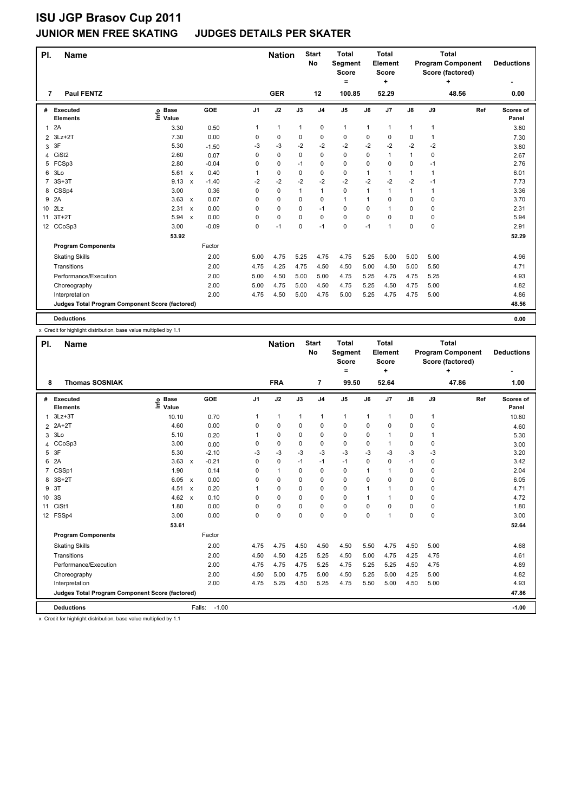### **JUNIOR MEN FREE SKATING JUDGES DETAILS PER SKATER**

| PI.             | <b>Name</b>                                     |                              |                           |         |                | <b>Nation</b> |          | <b>Start</b><br>No | <b>Total</b><br>Segment<br>Score<br>= |              | <b>Total</b><br><b>Element</b><br>Score<br>٠ |               |              | <b>Total</b><br><b>Program Component</b><br>Score (factored)<br>٠ | <b>Deductions</b>  |
|-----------------|-------------------------------------------------|------------------------------|---------------------------|---------|----------------|---------------|----------|--------------------|---------------------------------------|--------------|----------------------------------------------|---------------|--------------|-------------------------------------------------------------------|--------------------|
| 7               | <b>Paul FENTZ</b>                               |                              |                           |         |                | <b>GER</b>    |          | 12                 | 100.85                                |              | 52.29                                        |               |              | 48.56                                                             | 0.00               |
| #               | Executed<br><b>Elements</b>                     | <b>Base</b><br>lnfo<br>Value |                           | GOE     | J <sub>1</sub> | J2            | J3       | J <sub>4</sub>     | J <sub>5</sub>                        | J6           | J <sub>7</sub>                               | $\mathsf{J}8$ | J9           | Ref                                                               | Scores of<br>Panel |
| $\mathbf{1}$    | 2A                                              | 3.30                         |                           | 0.50    | 1              | $\mathbf{1}$  | 1        | $\mathbf 0$        | $\mathbf{1}$                          | $\mathbf{1}$ | 1                                            | 1             | $\mathbf{1}$ |                                                                   | 3.80               |
| $\overline{2}$  | $3Lz + 2T$                                      | 7.30                         |                           | 0.00    | 0              | 0             | 0        | 0                  | 0                                     | 0            | 0                                            | 0             | 1            |                                                                   | 7.30               |
| 3               | 3F                                              | 5.30                         |                           | $-1.50$ | -3             | $-3$          | $-2$     | $-2$               | $-2$                                  | $-2$         | $-2$                                         | $-2$          | $-2$         |                                                                   | 3.80               |
| 4               | CiSt <sub>2</sub>                               | 2.60                         |                           | 0.07    | 0              | $\mathbf 0$   | $\Omega$ | $\mathbf 0$        | $\mathbf 0$                           | 0            | 1                                            | $\mathbf{1}$  | 0            |                                                                   | 2.67               |
| 5               | FCSp3                                           | 2.80                         |                           | $-0.04$ | 0              | $\mathbf 0$   | $-1$     | $\mathbf 0$        | 0                                     | 0            | 0                                            | 0             | $-1$         |                                                                   | 2.76               |
| 6               | 3Lo                                             | 5.61                         | $\mathsf{x}$              | 0.40    | 1              | 0             | $\Omega$ | 0                  | 0                                     | 1            | 1                                            | 1             | 1            |                                                                   | 6.01               |
| $\overline{7}$  | $3S+3T$                                         | 9.13                         | $\boldsymbol{\mathsf{x}}$ | $-1.40$ | $-2$           | $-2$          | -2       | $-2$               | $-2$                                  | $-2$         | $-2$                                         | $-2$          | $-1$         |                                                                   | 7.73               |
| 8               | CSSp4                                           | 3.00                         |                           | 0.36    | 0              | $\mathbf 0$   | 1        | $\mathbf{1}$       | $\mathbf 0$                           | 1            | 1                                            | 1             | 1            |                                                                   | 3.36               |
| 9               | 2A                                              | 3.63                         | $\boldsymbol{\mathsf{x}}$ | 0.07    | 0              | 0             | 0        | 0                  | $\mathbf{1}$                          | $\mathbf 1$  | 0                                            | 0             | 0            |                                                                   | 3.70               |
| 10 <sup>1</sup> | 2Lz                                             | 2.31                         | $\boldsymbol{\mathsf{x}}$ | 0.00    | 0              | 0             | 0        | $-1$               | 0                                     | 0            | 1                                            | 0             | 0            |                                                                   | 2.31               |
| 11              | $3T+2T$                                         | 5.94                         | $\boldsymbol{\mathsf{x}}$ | 0.00    | 0              | 0             | $\Omega$ | $\mathbf 0$        | $\mathbf 0$                           | $\Omega$     | $\Omega$                                     | 0             | 0            |                                                                   | 5.94               |
|                 | 12 CCoSp3                                       | 3.00                         |                           | $-0.09$ | 0              | $-1$          | 0        | $-1$               | 0                                     | $-1$         | 1                                            | 0             | 0            |                                                                   | 2.91               |
|                 |                                                 | 53.92                        |                           |         |                |               |          |                    |                                       |              |                                              |               |              |                                                                   | 52.29              |
|                 | <b>Program Components</b>                       |                              |                           | Factor  |                |               |          |                    |                                       |              |                                              |               |              |                                                                   |                    |
|                 | <b>Skating Skills</b>                           |                              |                           | 2.00    | 5.00           | 4.75          | 5.25     | 4.75               | 4.75                                  | 5.25         | 5.00                                         | 5.00          | 5.00         |                                                                   | 4.96               |
|                 | Transitions                                     |                              |                           | 2.00    | 4.75           | 4.25          | 4.75     | 4.50               | 4.50                                  | 5.00         | 4.50                                         | 5.00          | 5.50         |                                                                   | 4.71               |
|                 | Performance/Execution                           |                              |                           | 2.00    | 5.00           | 4.50          | 5.00     | 5.00               | 4.75                                  | 5.25         | 4.75                                         | 4.75          | 5.25         |                                                                   | 4.93               |
|                 | Choreography                                    |                              |                           | 2.00    | 5.00           | 4.75          | 5.00     | 4.50               | 4.75                                  | 5.25         | 4.50                                         | 4.75          | 5.00         |                                                                   | 4.82               |
|                 | Interpretation                                  |                              |                           | 2.00    | 4.75           | 4.50          | 5.00     | 4.75               | 5.00                                  | 5.25         | 4.75                                         | 4.75          | 5.00         |                                                                   | 4.86               |
|                 | Judges Total Program Component Score (factored) |                              |                           |         |                |               |          |                    |                                       |              |                                              |               |              |                                                                   | 48.56              |
|                 | <b>Deductions</b>                               |                              |                           |         |                |               |          |                    |                                       |              |                                              |               |              |                                                                   | 0.00               |

x Credit for highlight distribution, base value multiplied by 1.1

| PI.             | <b>Name</b>                                     |                           |                           |         |                | <b>Nation</b> |              | <b>Start</b><br><b>No</b> | <b>Total</b><br>Segment<br><b>Score</b><br>Ξ. |      | <b>Total</b><br><b>Element</b><br><b>Score</b><br>÷ |               |              | <b>Total</b><br><b>Program Component</b><br>Score (factored)<br>÷ | <b>Deductions</b>  |
|-----------------|-------------------------------------------------|---------------------------|---------------------------|---------|----------------|---------------|--------------|---------------------------|-----------------------------------------------|------|-----------------------------------------------------|---------------|--------------|-------------------------------------------------------------------|--------------------|
| 8               | <b>Thomas SOSNIAK</b>                           |                           |                           |         |                | <b>FRA</b>    |              | $\overline{7}$            | 99.50                                         |      | 52.64                                               |               |              | 47.86                                                             | 1.00               |
| #               | Executed<br><b>Elements</b>                     | <b>Base</b><br>۴<br>Value |                           | GOE     | J <sub>1</sub> | J2            | J3           | J <sub>4</sub>            | J <sub>5</sub>                                | J6   | J7                                                  | $\mathsf{J}8$ | J9           | Ref                                                               | Scores of<br>Panel |
| 1               | $3Lz + 3T$                                      | 10.10                     |                           | 0.70    | 1              | $\mathbf{1}$  | $\mathbf{1}$ | $\mathbf{1}$              | $\mathbf{1}$                                  | 1    | 1                                                   | 0             | $\mathbf{1}$ |                                                                   | 10.80              |
|                 | 2 2A+2T                                         | 4.60                      |                           | 0.00    | 0              | $\mathbf 0$   | $\Omega$     | $\mathbf 0$               | $\mathbf 0$                                   | 0    | 0                                                   | 0             | 0            |                                                                   | 4.60               |
| 3               | 3Lo                                             | 5.10                      |                           | 0.20    | 1              | $\Omega$      | $\Omega$     | 0                         | $\Omega$                                      | 0    | 1                                                   | 0             | 1            |                                                                   | 5.30               |
| 4               | CCoSp3                                          | 3.00                      |                           | 0.00    | 0              | $\mathbf 0$   | 0            | $\mathbf 0$               | $\mathbf 0$                                   | 0    | 1                                                   | 0             | 0            |                                                                   | 3.00               |
| 5               | 3F                                              | 5.30                      |                           | $-2.10$ | $-3$           | $-3$          | $-3$         | $-3$                      | $-3$                                          | -3   | $-3$                                                | $-3$          | $-3$         |                                                                   | 3.20               |
| 6               | 2A                                              | 3.63                      | $\mathsf{x}$              | $-0.21$ | 0              | $\mathbf 0$   | $-1$         | $-1$                      | $-1$                                          | 0    | 0                                                   | $-1$          | 0            |                                                                   | 3.42               |
| 7               | CSSp1                                           | 1.90                      |                           | 0.14    | 0              | $\mathbf{1}$  | $\Omega$     | $\mathbf 0$               | $\Omega$                                      | 1    | 1                                                   | 0             | 0            |                                                                   | 2.04               |
| 8               | $3S+2T$                                         | 6.05                      | $\mathsf{x}$              | 0.00    | 0              | $\Omega$      | $\Omega$     | $\mathbf 0$               | $\Omega$                                      | 0    | 0                                                   | 0             | 0            |                                                                   | 6.05               |
| 9               | 3T                                              | 4.51                      | $\boldsymbol{\mathsf{x}}$ | 0.20    |                | $\mathbf 0$   | $\Omega$     | 0                         | 0                                             | 1    | 1                                                   | 0             | 0            |                                                                   | 4.71               |
| 10 <sup>°</sup> | 3S                                              | 4.62                      | $\mathsf{x}$              | 0.10    | 0              | $\mathbf 0$   | $\Omega$     | $\mathbf 0$               | $\mathbf 0$                                   | 1    | 1                                                   | 0             | 0            |                                                                   | 4.72               |
| 11              | CiSt1                                           | 1.80                      |                           | 0.00    | 0              | 0             | $\Omega$     | 0                         | $\mathbf 0$                                   | 0    | $\Omega$                                            | 0             | 0            |                                                                   | 1.80               |
| 12              | FSSp4                                           | 3.00                      |                           | 0.00    | 0              | $\mathbf 0$   | $\Omega$     | 0                         | $\Omega$                                      | 0    | 1                                                   | $\Omega$      | 0            |                                                                   | 3.00               |
|                 |                                                 | 53.61                     |                           |         |                |               |              |                           |                                               |      |                                                     |               |              |                                                                   | 52.64              |
|                 | <b>Program Components</b>                       |                           |                           | Factor  |                |               |              |                           |                                               |      |                                                     |               |              |                                                                   |                    |
|                 | <b>Skating Skills</b>                           |                           |                           | 2.00    | 4.75           | 4.75          | 4.50         | 4.50                      | 4.50                                          | 5.50 | 4.75                                                | 4.50          | 5.00         |                                                                   | 4.68               |
|                 | Transitions                                     |                           |                           | 2.00    | 4.50           | 4.50          | 4.25         | 5.25                      | 4.50                                          | 5.00 | 4.75                                                | 4.25          | 4.75         |                                                                   | 4.61               |
|                 | Performance/Execution                           |                           |                           | 2.00    | 4.75           | 4.75          | 4.75         | 5.25                      | 4.75                                          | 5.25 | 5.25                                                | 4.50          | 4.75         |                                                                   | 4.89               |
|                 | Choreography                                    |                           |                           | 2.00    | 4.50           | 5.00          | 4.75         | 5.00                      | 4.50                                          | 5.25 | 5.00                                                | 4.25          | 5.00         |                                                                   | 4.82               |
|                 | Interpretation                                  |                           |                           | 2.00    | 4.75           | 5.25          | 4.50         | 5.25                      | 4.75                                          | 5.50 | 5.00                                                | 4.50          | 5.00         |                                                                   | 4.93               |
|                 | Judges Total Program Component Score (factored) |                           |                           |         |                |               |              |                           |                                               |      |                                                     |               |              |                                                                   | 47.86              |
|                 | <b>Deductions</b>                               |                           | Falls:                    | $-1.00$ |                |               |              |                           |                                               |      |                                                     |               |              |                                                                   | $-1.00$            |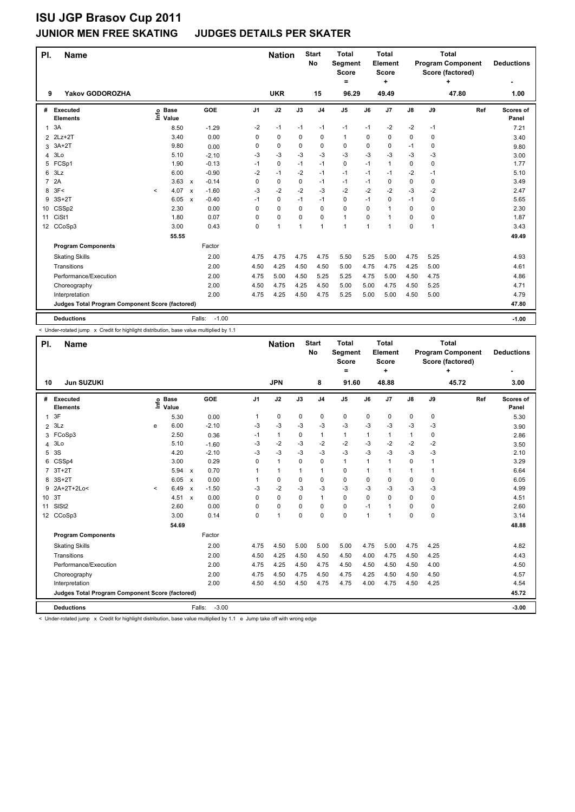### **JUNIOR MEN FREE SKATING JUDGES DETAILS PER SKATER**

| PI.            | <b>Name</b>                                     |         |                      |                           |         |                | <b>Nation</b> |                | <b>Start</b><br>No | <b>Total</b><br>Segment<br><b>Score</b><br>= |             | <b>Total</b><br>Element<br><b>Score</b><br>÷ |      |             | <b>Total</b><br><b>Program Component</b><br>Score (factored)<br>٠ | <b>Deductions</b>  |
|----------------|-------------------------------------------------|---------|----------------------|---------------------------|---------|----------------|---------------|----------------|--------------------|----------------------------------------------|-------------|----------------------------------------------|------|-------------|-------------------------------------------------------------------|--------------------|
| 9              | <b>Yakov GODOROZHA</b>                          |         |                      |                           |         |                | <b>UKR</b>    |                | 15                 | 96.29                                        |             | 49.49                                        |      |             | 47.80                                                             | 1.00               |
| #              | Executed<br><b>Elements</b>                     | Info    | <b>Base</b><br>Value |                           | GOE     | J <sub>1</sub> | J2            | J3             | J <sub>4</sub>     | J <sub>5</sub>                               | J6          | J7                                           | J8   | J9          | Ref                                                               | Scores of<br>Panel |
| 1              | 3A                                              |         | 8.50                 |                           | $-1.29$ | -2             | $-1$          | $-1$           | $-1$               | $-1$                                         | $-1$        | $-2$                                         | $-2$ | -1          |                                                                   | 7.21               |
|                | 2 2Lz+2T                                        |         | 3.40                 |                           | 0.00    | 0              | 0             | 0              | 0                  | $\mathbf{1}$                                 | $\Omega$    | 0                                            | 0    | 0           |                                                                   | 3.40               |
| 3              | $3A+2T$                                         |         | 9.80                 |                           | 0.00    | 0              | 0             | 0              | $\mathbf 0$        | 0                                            | 0           | $\mathbf 0$                                  | $-1$ | 0           |                                                                   | 9.80               |
| 4              | 3Lo                                             |         | 5.10                 |                           | $-2.10$ | -3             | -3            | -3             | $-3$               | $-3$                                         | $-3$        | $-3$                                         | $-3$ | -3          |                                                                   | 3.00               |
| 5              | FCSp1                                           |         | 1.90                 |                           | $-0.13$ | $-1$           | $\mathbf 0$   | $-1$           | $-1$               | 0                                            | $-1$        | $\mathbf{1}$                                 | 0    | $\mathbf 0$ |                                                                   | 1.77               |
| 6              | 3Lz                                             |         | 6.00                 |                           | $-0.90$ | $-2$           | $-1$          | $-2$           | $-1$               | $-1$                                         | $-1$        | $-1$                                         | $-2$ | $-1$        |                                                                   | 5.10               |
| $\overline{7}$ | 2A                                              |         | 3.63                 | $\mathbf{x}$              | $-0.14$ | $\Omega$       | 0             | 0              | $-1$               | $-1$                                         | $-1$        | 0                                            | 0    | 0           |                                                                   | 3.49               |
| 8              | 3F<                                             | $\prec$ | 4.07                 | $\boldsymbol{\mathsf{x}}$ | $-1.60$ | -3             | $-2$          | $-2$           | $-3$               | $-2$                                         | $-2$        | $-2$                                         | $-3$ | $-2$        |                                                                   | 2.47               |
| 9              | $3S+2T$                                         |         | 6.05                 | $\boldsymbol{\mathsf{x}}$ | $-0.40$ | $-1$           | 0             | $-1$           | $-1$               | 0                                            | $-1$        | 0                                            | $-1$ | 0           |                                                                   | 5.65               |
| 10             | CSSp2                                           |         | 2.30                 |                           | 0.00    | 0              | 0             | 0              | $\mathbf 0$        | 0                                            | 0           | $\overline{1}$                               | 0    | $\mathbf 0$ |                                                                   | 2.30               |
| 11             | CiSt1                                           |         | 1.80                 |                           | 0.07    | 0              | 0             | 0              | $\mathbf 0$        | $\mathbf{1}$                                 | $\Omega$    | 1                                            | 0    | 0           |                                                                   | 1.87               |
|                | 12 CCoSp3                                       |         | 3.00                 |                           | 0.43    | $\Omega$       | $\mathbf{1}$  | $\overline{1}$ | $\overline{1}$     | 1                                            | $\mathbf 1$ | 1                                            | 0    | 1           |                                                                   | 3.43               |
|                |                                                 |         | 55.55                |                           |         |                |               |                |                    |                                              |             |                                              |      |             |                                                                   | 49.49              |
|                | <b>Program Components</b>                       |         |                      |                           | Factor  |                |               |                |                    |                                              |             |                                              |      |             |                                                                   |                    |
|                | <b>Skating Skills</b>                           |         |                      |                           | 2.00    | 4.75           | 4.75          | 4.75           | 4.75               | 5.50                                         | 5.25        | 5.00                                         | 4.75 | 5.25        |                                                                   | 4.93               |
|                | Transitions                                     |         |                      |                           | 2.00    | 4.50           | 4.25          | 4.50           | 4.50               | 5.00                                         | 4.75        | 4.75                                         | 4.25 | 5.00        |                                                                   | 4.61               |
|                | Performance/Execution                           |         |                      |                           | 2.00    | 4.75           | 5.00          | 4.50           | 5.25               | 5.25                                         | 4.75        | 5.00                                         | 4.50 | 4.75        |                                                                   | 4.86               |
|                | Choreography                                    |         |                      |                           | 2.00    | 4.50           | 4.75          | 4.25           | 4.50               | 5.00                                         | 5.00        | 4.75                                         | 4.50 | 5.25        |                                                                   | 4.71               |
|                | Interpretation                                  |         |                      |                           | 2.00    | 4.75           | 4.25          | 4.50           | 4.75               | 5.25                                         | 5.00        | 5.00                                         | 4.50 | 5.00        |                                                                   | 4.79               |
|                | Judges Total Program Component Score (factored) |         |                      |                           |         |                |               |                |                    |                                              |             |                                              |      |             |                                                                   | 47.80              |
|                | <b>Deductions</b>                               |         |                      | Falls:                    | $-1.00$ |                |               |                |                    |                                              |             |                                              |      |             |                                                                   | $-1.00$            |

< Under-rotated jump x Credit for highlight distribution, base value multiplied by 1.1

| PI.            | <b>Name</b>                                     |         |                      |                           |                   |                | <b>Nation</b>        |              | <b>Start</b><br>No | <b>Total</b><br>Segment<br><b>Score</b><br>Ξ. |              | <b>Total</b><br>Element<br><b>Score</b><br>٠ |               |              | <b>Total</b><br><b>Program Component</b><br>Score (factored)<br>÷ | <b>Deductions</b>  |
|----------------|-------------------------------------------------|---------|----------------------|---------------------------|-------------------|----------------|----------------------|--------------|--------------------|-----------------------------------------------|--------------|----------------------------------------------|---------------|--------------|-------------------------------------------------------------------|--------------------|
| 10             | <b>Jun SUZUKI</b>                               |         |                      |                           |                   |                | <b>JPN</b>           |              | 8                  | 91.60                                         |              | 48.88                                        |               |              | 45.72                                                             | 3.00               |
| #              | Executed<br><b>Elements</b>                     | ١nf٥    | <b>Base</b><br>Value |                           | GOE               | J <sub>1</sub> | J2                   | J3           | J <sub>4</sub>     | J5                                            | J6           | J7                                           | $\mathsf{J}8$ | J9           | Ref                                                               | Scores of<br>Panel |
| $\mathbf{1}$   | 3F                                              |         | 5.30                 |                           | 0.00              | 1              | $\mathbf 0$          | 0            | $\mathbf 0$        | $\mathbf 0$                                   | 0            | 0                                            | 0             | 0            |                                                                   | 5.30               |
| $\overline{2}$ | 3Lz                                             | e       | 6.00                 |                           | $-2.10$           | $-3$           | $-3$                 | $-3$         | $-3$               | $-3$                                          | $-3$         | $-3$                                         | $-3$          | $-3$         |                                                                   | 3.90               |
| 3              | FCoSp3                                          |         | 2.50                 |                           | 0.36              | $-1$           | $\mathbf{1}$         | 0            | $\mathbf{1}$       | $\mathbf{1}$                                  | 1            | 1                                            | $\mathbf{1}$  | 0            |                                                                   | 2.86               |
| 4              | 3 <sub>Lo</sub>                                 |         | 5.10                 |                           | $-1.60$           | -3             | $-2$                 | $-3$         | $-2$               | $-2$                                          | $-3$         | $-2$                                         | $-2$          | $-2$         |                                                                   | 3.50               |
| 5              | 3S                                              |         | 4.20                 |                           | $-2.10$           | $-3$           | $-3$                 | $-3$         | $-3$               | $-3$                                          | $-3$         | $-3$                                         | $-3$          | $-3$         |                                                                   | 2.10               |
| 6              | CSSp4                                           |         | 3.00                 |                           | 0.29              | 0              | $\mathbf{1}$         | $\Omega$     | $\mathbf 0$        | $\mathbf{1}$                                  | $\mathbf{1}$ | $\mathbf{1}$                                 | $\mathbf 0$   | $\mathbf{1}$ |                                                                   | 3.29               |
| $\overline{7}$ | $3T+2T$                                         |         | 5.94                 | $\boldsymbol{\mathsf{x}}$ | 0.70              | 1              | $\blacktriangleleft$ | $\mathbf{1}$ | $\mathbf{1}$       | 0                                             | 1            | 1                                            | $\mathbf{1}$  | 1            |                                                                   | 6.64               |
| 8              | $3S+2T$                                         |         | 6.05                 | $\boldsymbol{\mathsf{x}}$ | 0.00              | 1              | $\mathbf 0$          | $\Omega$     | $\mathbf 0$        | $\mathbf 0$                                   | $\Omega$     | 0                                            | $\mathbf 0$   | 0            |                                                                   | 6.05               |
| 9              | 2A+2T+2Lo<                                      | $\prec$ | 6.49                 | $\boldsymbol{\mathsf{x}}$ | $-1.50$           | -3             | $-2$                 | $-3$         | $-3$               | $-3$                                          | $-3$         | $-3$                                         | $-3$          | $-3$         |                                                                   | 4.99               |
| 10 3T          |                                                 |         | 4.51                 | $\boldsymbol{\mathsf{x}}$ | 0.00              | 0              | $\Omega$             | $\Omega$     | $\mathbf{1}$       | $\Omega$                                      | $\Omega$     | $\Omega$                                     | $\Omega$      | 0            |                                                                   | 4.51               |
| 11             | SIS <sub>t2</sub>                               |         | 2.60                 |                           | 0.00              | 0              | $\mathbf 0$          | $\Omega$     | $\mathbf 0$        | $\mathbf 0$                                   | $-1$         | 1                                            | $\Omega$      | $\Omega$     |                                                                   | 2.60               |
| 12             | CCoSp3                                          |         | 3.00                 |                           | 0.14              | 0              | $\overline{1}$       | $\Omega$     | $\Omega$           | $\Omega$                                      | $\mathbf{1}$ | 1                                            | $\Omega$      | $\Omega$     |                                                                   | 3.14               |
|                |                                                 |         | 54.69                |                           |                   |                |                      |              |                    |                                               |              |                                              |               |              |                                                                   | 48.88              |
|                | <b>Program Components</b>                       |         |                      |                           | Factor            |                |                      |              |                    |                                               |              |                                              |               |              |                                                                   |                    |
|                | <b>Skating Skills</b>                           |         |                      |                           | 2.00              | 4.75           | 4.50                 | 5.00         | 5.00               | 5.00                                          | 4.75         | 5.00                                         | 4.75          | 4.25         |                                                                   | 4.82               |
|                | Transitions                                     |         |                      |                           | 2.00              | 4.50           | 4.25                 | 4.50         | 4.50               | 4.50                                          | 4.00         | 4.75                                         | 4.50          | 4.25         |                                                                   | 4.43               |
|                | Performance/Execution                           |         |                      |                           | 2.00              | 4.75           | 4.25                 | 4.50         | 4.75               | 4.50                                          | 4.50         | 4.50                                         | 4.50          | 4.00         |                                                                   | 4.50               |
|                | Choreography                                    |         |                      |                           | 2.00              | 4.75           | 4.50                 | 4.75         | 4.50               | 4.75                                          | 4.25         | 4.50                                         | 4.50          | 4.50         |                                                                   | 4.57               |
|                | Interpretation                                  |         |                      |                           | 2.00              | 4.50           | 4.50                 | 4.50         | 4.75               | 4.75                                          | 4.00         | 4.75                                         | 4.50          | 4.25         |                                                                   | 4.54               |
|                | Judges Total Program Component Score (factored) |         |                      |                           |                   |                |                      |              |                    |                                               |              |                                              |               |              |                                                                   | 45.72              |
|                | <b>Deductions</b>                               |         |                      |                           | $-3.00$<br>Falls: |                |                      |              |                    |                                               |              |                                              |               |              |                                                                   | $-3.00$            |

< Under-rotated jump x Credit for highlight distribution, base value multiplied by 1.1 e Jump take off with wrong edge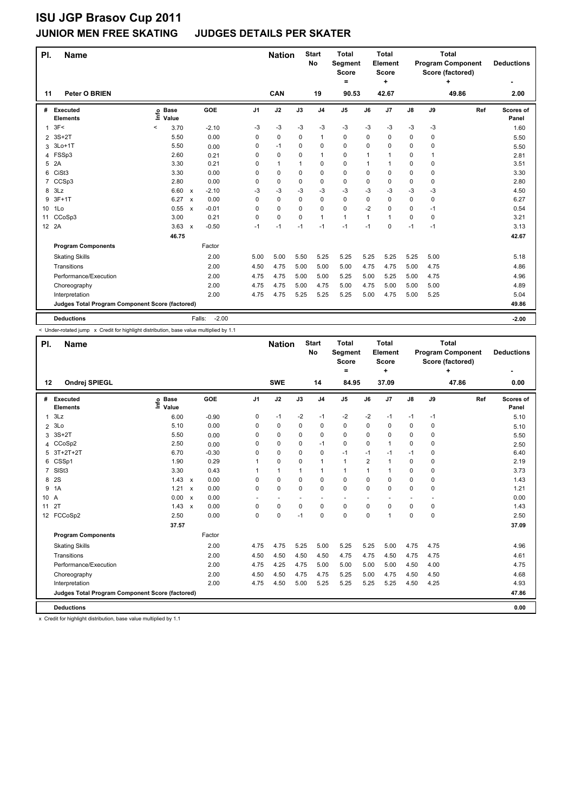### **JUNIOR MEN FREE SKATING JUDGES DETAILS PER SKATER**

| PI.             | <b>Name</b>                                     |                              |                           |                   |                | <b>Nation</b> |             | <b>Start</b><br><b>No</b> | <b>Total</b><br>Segment<br><b>Score</b><br>= |      | <b>Total</b><br>Element<br>Score<br>٠ |               |      | <b>Total</b><br><b>Program Component</b><br>Score (factored)<br>÷ | <b>Deductions</b>  |
|-----------------|-------------------------------------------------|------------------------------|---------------------------|-------------------|----------------|---------------|-------------|---------------------------|----------------------------------------------|------|---------------------------------------|---------------|------|-------------------------------------------------------------------|--------------------|
| 11              | <b>Peter O BRIEN</b>                            |                              |                           |                   |                | <b>CAN</b>    |             | 19                        | 90.53                                        |      | 42.67                                 |               |      | 49.86                                                             | 2.00               |
| #               | Executed<br><b>Elements</b>                     | <b>Base</b><br>Info<br>Value |                           | GOE               | J <sub>1</sub> | J2            | J3          | J <sub>4</sub>            | J <sub>5</sub>                               | J6   | J <sub>7</sub>                        | $\mathsf{J}8$ | J9   | Ref                                                               | Scores of<br>Panel |
| $\mathbf{1}$    | 3F<                                             | $\,<$<br>3.70                |                           | $-2.10$           | -3             | $-3$          | -3          | $-3$                      | $-3$                                         | $-3$ | $-3$                                  | $-3$          | -3   |                                                                   | 1.60               |
| $\overline{2}$  | $3S+2T$                                         | 5.50                         |                           | 0.00              | 0              | $\mathbf 0$   | $\Omega$    | $\mathbf{1}$              | $\mathbf 0$                                  | 0    | 0                                     | 0             | 0    |                                                                   | 5.50               |
| 3               | 3Lo+1T                                          | 5.50                         |                           | 0.00              | 0              | $-1$          | 0           | 0                         | $\mathbf 0$                                  | 0    | 0                                     | 0             | 0    |                                                                   | 5.50               |
| 4               | FSSp3                                           | 2.60                         |                           | 0.21              | 0              | $\mathbf 0$   | 0           | $\mathbf{1}$              | $\mathbf 0$                                  | 1    | 1                                     | 0             | 1    |                                                                   | 2.81               |
| 5               | 2A                                              | 3.30                         |                           | 0.21              | 0              | $\mathbf{1}$  | $\mathbf 1$ | $\mathbf 0$               | $\mathbf 0$                                  | 1    | 1                                     | 0             | 0    |                                                                   | 3.51               |
| 6               | CiSt <sub>3</sub>                               | 3.30                         |                           | 0.00              | $\Omega$       | 0             | $\Omega$    | $\mathbf 0$               | $\mathbf 0$                                  | 0    | 0                                     | 0             | 0    |                                                                   | 3.30               |
| 7               | CCSp3                                           | 2.80                         |                           | 0.00              | $\Omega$       | 0             | 0           | 0                         | 0                                            | 0    | 0                                     | 0             | 0    |                                                                   | 2.80               |
| 8               | 3Lz                                             | 6.60                         | $\boldsymbol{\mathsf{x}}$ | $-2.10$           | -3             | $-3$          | -3          | $-3$                      | $-3$                                         | -3   | -3                                    | $-3$          | $-3$ |                                                                   | 4.50               |
| 9               | $3F+1T$                                         | 6.27                         | $\boldsymbol{\mathsf{x}}$ | 0.00              | $\Omega$       | $\mathbf 0$   | $\Omega$    | $\mathbf 0$               | $\mathbf 0$                                  | 0    | 0                                     | 0             | 0    |                                                                   | 6.27               |
| 10 <sup>1</sup> | 1Lo                                             | 0.55                         | $\boldsymbol{\mathsf{x}}$ | $-0.01$           | 0              | $\mathbf 0$   | $\mathbf 0$ | 0                         | $\mathbf 0$                                  | $-2$ | 0                                     | 0             | $-1$ |                                                                   | 0.54               |
| 11              | CCoSp3                                          | 3.00                         |                           | 0.21              | 0              | $\mathbf 0$   | $\Omega$    | $\mathbf{1}$              | 1                                            | 1    | 1                                     | 0             | 0    |                                                                   | 3.21               |
|                 | 12 2A                                           | 3.63                         | $\boldsymbol{\mathsf{x}}$ | $-0.50$           | $-1$           | $-1$          | $-1$        | $-1$                      | $-1$                                         | $-1$ | 0                                     | $-1$          | $-1$ |                                                                   | 3.13               |
|                 |                                                 | 46.75                        |                           |                   |                |               |             |                           |                                              |      |                                       |               |      |                                                                   | 42.67              |
|                 | <b>Program Components</b>                       |                              |                           | Factor            |                |               |             |                           |                                              |      |                                       |               |      |                                                                   |                    |
|                 | <b>Skating Skills</b>                           |                              |                           | 2.00              | 5.00           | 5.00          | 5.50        | 5.25                      | 5.25                                         | 5.25 | 5.25                                  | 5.25          | 5.00 |                                                                   | 5.18               |
|                 | Transitions                                     |                              |                           | 2.00              | 4.50           | 4.75          | 5.00        | 5.00                      | 5.00                                         | 4.75 | 4.75                                  | 5.00          | 4.75 |                                                                   | 4.86               |
|                 | Performance/Execution                           |                              |                           | 2.00              | 4.75           | 4.75          | 5.00        | 5.00                      | 5.25                                         | 5.00 | 5.25                                  | 5.00          | 4.75 |                                                                   | 4.96               |
|                 | Choreography                                    |                              |                           | 2.00              | 4.75           | 4.75          | 5.00        | 4.75                      | 5.00                                         | 4.75 | 5.00                                  | 5.00          | 5.00 |                                                                   | 4.89               |
|                 | Interpretation                                  |                              |                           | 2.00              | 4.75           | 4.75          | 5.25        | 5.25                      | 5.25                                         | 5.00 | 4.75                                  | 5.00          | 5.25 |                                                                   | 5.04               |
|                 | Judges Total Program Component Score (factored) |                              |                           |                   |                |               |             |                           |                                              |      |                                       |               |      |                                                                   | 49.86              |
|                 | <b>Deductions</b>                               |                              |                           | $-2.00$<br>Falls: |                |               |             |                           |                                              |      |                                       |               |      |                                                                   | $-2.00$            |

< Under-rotated jump x Credit for highlight distribution, base value multiplied by 1.1

| PI.            | <b>Name</b>                                     |                            |                           |            |                | <b>Nation</b>            |      | <b>Start</b><br><b>No</b> | <b>Total</b><br>Segment<br><b>Score</b><br>$=$ |                | <b>Total</b><br>Element<br><b>Score</b><br>÷ |               |             | <b>Total</b><br><b>Program Component</b><br>Score (factored)<br>٠ | <b>Deductions</b>  |
|----------------|-------------------------------------------------|----------------------------|---------------------------|------------|----------------|--------------------------|------|---------------------------|------------------------------------------------|----------------|----------------------------------------------|---------------|-------------|-------------------------------------------------------------------|--------------------|
| 12             | Ondrej SPIEGL                                   |                            |                           |            |                | <b>SWE</b>               |      | 14                        | 84.95                                          |                | 37.09                                        |               |             | 47.86                                                             | 0.00               |
| #              | <b>Executed</b><br><b>Elements</b>              | <b>Base</b><br>۴ů<br>Value |                           | <b>GOE</b> | J <sub>1</sub> | J2                       | J3   | J <sub>4</sub>            | J5                                             | J6             | J <sub>7</sub>                               | $\mathsf{J}8$ | J9          | Ref                                                               | Scores of<br>Panel |
| 1              | 3Lz                                             | 6.00                       |                           | $-0.90$    | 0              | $-1$                     | $-2$ | $-1$                      | $-2$                                           | $-2$           | $-1$                                         | $-1$          | $-1$        |                                                                   | 5.10               |
| $\overline{2}$ | 3 <sub>LO</sub>                                 | 5.10                       |                           | 0.00       | 0              | 0                        | 0    | 0                         | 0                                              | 0              | 0                                            | 0             | 0           |                                                                   | 5.10               |
| 3              | $3S+2T$                                         | 5.50                       |                           | 0.00       | $\Omega$       | 0                        | 0    | $\mathbf 0$               | 0                                              | 0              | 0                                            | 0             | $\mathbf 0$ |                                                                   | 5.50               |
| 4              | CCoSp2                                          | 2.50                       |                           | 0.00       | $\Omega$       | 0                        | 0    | $-1$                      | 0                                              | 0              | $\mathbf{1}$                                 | 0             | $\Omega$    |                                                                   | 2.50               |
| 5              | $3T+2T+2T$                                      | 6.70                       |                           | $-0.30$    | 0              | 0                        | 0    | 0                         | $-1$                                           | $-1$           | $-1$                                         | $-1$          | 0           |                                                                   | 6.40               |
| 6              | CSSp1                                           | 1.90                       |                           | 0.29       | 1              | 0                        | 0    | $\mathbf{1}$              | 1                                              | $\overline{2}$ | 1                                            | 0             | 0           |                                                                   | 2.19               |
| $\overline{7}$ | SISt <sub>3</sub>                               | 3.30                       |                           | 0.43       | 1              | $\mathbf{1}$             | 1    | $\mathbf{1}$              | 1                                              | 1              | $\mathbf{1}$                                 | 0             | $\Omega$    |                                                                   | 3.73               |
| 8              | 2S                                              | 1.43                       | $\mathsf{x}$              | 0.00       | $\Omega$       | 0                        | 0    | $\mathbf 0$               | 0                                              | 0              | 0                                            | 0             | 0           |                                                                   | 1.43               |
| 9              | 1A                                              | 1.21                       | $\boldsymbol{\mathsf{x}}$ | 0.00       | $\Omega$       | 0                        | 0    | $\Omega$                  | 0                                              | 0              | 0                                            | 0             | $\Omega$    |                                                                   | 1.21               |
| 10 A           |                                                 | 0.00                       | $\boldsymbol{\mathsf{x}}$ | 0.00       |                | $\overline{\phantom{a}}$ |      |                           |                                                |                |                                              |               |             |                                                                   | 0.00               |
| 11             | 2T                                              | 1.43                       | $\boldsymbol{\mathsf{x}}$ | 0.00       | 0              | 0                        | 0    | $\mathbf 0$               | 0                                              | 0              | 0                                            | 0             | 0           |                                                                   | 1.43               |
|                | 12 FCCoSp2                                      | 2.50                       |                           | 0.00       | $\Omega$       | $\Omega$                 | $-1$ | $\Omega$                  | $\Omega$                                       | 0              | 1                                            | 0             | $\mathbf 0$ |                                                                   | 2.50               |
|                |                                                 | 37.57                      |                           |            |                |                          |      |                           |                                                |                |                                              |               |             |                                                                   | 37.09              |
|                | <b>Program Components</b>                       |                            |                           | Factor     |                |                          |      |                           |                                                |                |                                              |               |             |                                                                   |                    |
|                | <b>Skating Skills</b>                           |                            |                           | 2.00       | 4.75           | 4.75                     | 5.25 | 5.00                      | 5.25                                           | 5.25           | 5.00                                         | 4.75          | 4.75        |                                                                   | 4.96               |
|                | Transitions                                     |                            |                           | 2.00       | 4.50           | 4.50                     | 4.50 | 4.50                      | 4.75                                           | 4.75           | 4.50                                         | 4.75          | 4.75        |                                                                   | 4.61               |
|                | Performance/Execution                           |                            |                           | 2.00       | 4.75           | 4.25                     | 4.75 | 5.00                      | 5.00                                           | 5.00           | 5.00                                         | 4.50          | 4.00        |                                                                   | 4.75               |
|                | Choreography                                    |                            |                           | 2.00       | 4.50           | 4.50                     | 4.75 | 4.75                      | 5.25                                           | 5.00           | 4.75                                         | 4.50          | 4.50        |                                                                   | 4.68               |
|                | Interpretation                                  |                            |                           | 2.00       | 4.75           | 4.50                     | 5.00 | 5.25                      | 5.25                                           | 5.25           | 5.25                                         | 4.50          | 4.25        |                                                                   | 4.93               |
|                | Judges Total Program Component Score (factored) |                            |                           |            |                |                          |      |                           |                                                |                |                                              |               |             |                                                                   | 47.86              |
|                | <b>Deductions</b>                               |                            |                           |            |                |                          |      |                           |                                                |                |                                              |               |             |                                                                   | 0.00               |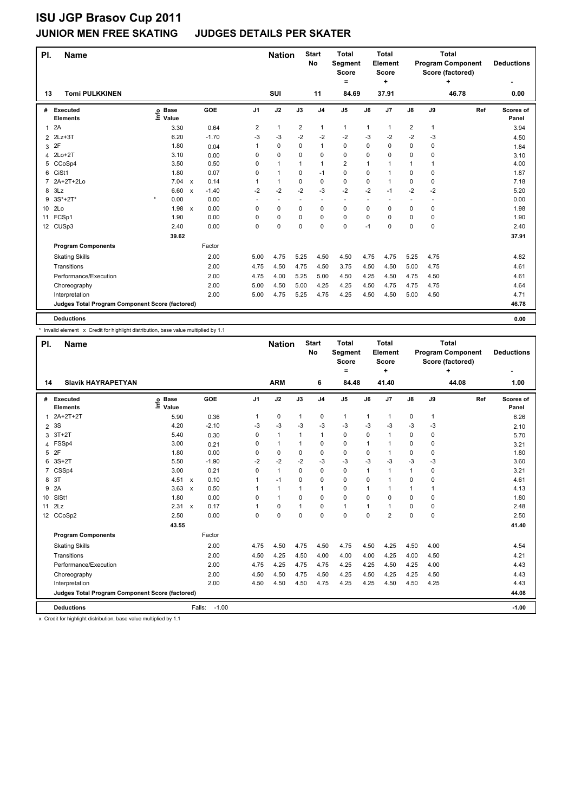### **JUNIOR MEN FREE SKATING JUDGES DETAILS PER SKATER**

| PI.            | <b>Name</b>                                     |                              |                           |         |                         | <b>Nation</b> |                | <b>Start</b><br><b>No</b> | <b>Total</b><br>Segment<br><b>Score</b> |          | <b>Total</b><br>Element<br><b>Score</b><br>÷ |                | <b>Total</b><br><b>Program Component</b><br>Score (factored) | <b>Deductions</b> |                    |
|----------------|-------------------------------------------------|------------------------------|---------------------------|---------|-------------------------|---------------|----------------|---------------------------|-----------------------------------------|----------|----------------------------------------------|----------------|--------------------------------------------------------------|-------------------|--------------------|
| 13             | <b>Tomi PULKKINEN</b>                           |                              |                           |         |                         | <b>SUI</b>    |                | 11                        | 84.69                                   |          | 37.91                                        |                |                                                              | 46.78             | 0.00               |
| #              | Executed<br><b>Elements</b>                     | <b>Base</b><br>lnfo<br>Value |                           | GOE     | J <sub>1</sub>          | J2            | J3             | J <sub>4</sub>            | J <sub>5</sub>                          | J6       | J7                                           | $\mathsf{J}8$  | J9                                                           | Ref               | Scores of<br>Panel |
| $\mathbf{1}$   | 2A                                              | 3.30                         |                           | 0.64    | $\overline{\mathbf{c}}$ | $\mathbf{1}$  | $\overline{2}$ | 1                         | 1                                       | 1        | $\mathbf{1}$                                 | 2              | 1                                                            |                   | 3.94               |
| $\overline{2}$ | $2Lz + 3T$                                      | 6.20                         |                           | $-1.70$ | -3                      | $-3$          | $-2$           | $-2$                      | $-2$                                    | $-3$     | $-2$                                         | $-2$           | -3                                                           |                   | 4.50               |
| 3              | 2F                                              | 1.80                         |                           | 0.04    |                         | $\mathbf 0$   | $\mathbf 0$    | $\mathbf{1}$              | $\mathbf 0$                             | 0        | 0                                            | 0              | 0                                                            |                   | 1.84               |
| 4              | $2Lo+2T$                                        | 3.10                         |                           | 0.00    | 0                       | $\mathbf 0$   | 0              | $\mathbf 0$               | $\mathbf 0$                             | 0        | 0                                            | 0              | 0                                                            |                   | 3.10               |
| 5              | CCoSp4                                          | 3.50                         |                           | 0.50    | 0                       | $\mathbf{1}$  | 1              | $\mathbf{1}$              | $\overline{2}$                          | 1        | 1                                            | $\mathbf{1}$   | 1                                                            |                   | 4.00               |
| 6              | CiSt1                                           | 1.80                         |                           | 0.07    | $\Omega$                | $\mathbf{1}$  | $\Omega$       | $-1$                      | $\mathbf 0$                             | 0        | $\mathbf{1}$                                 | 0              | 0                                                            |                   | 1.87               |
| 7              | 2A+2T+2Lo                                       | 7.04                         | $\mathbf{x}$              | 0.14    |                         | $\mathbf{1}$  | 0              | $\mathbf 0$               | $\mathbf 0$                             | 0        | $\mathbf{1}$                                 | 0              | 0                                                            |                   | 7.18               |
| 8              | 3Lz                                             | 6.60                         | $\mathsf{x}$              | $-1.40$ | $-2$                    | $-2$          | $-2$           | $-3$                      | $-2$                                    | $-2$     | $-1$                                         | $-2$           | $-2$                                                         |                   | 5.20               |
| 9              | 3S*+2T*                                         | $\star$<br>0.00              |                           | 0.00    | ٠                       | $\sim$        | ٠              | ٠.                        | $\sim$                                  |          |                                              | $\overline{a}$ |                                                              |                   | 0.00               |
| 10             | 2Lo                                             | 1.98                         | $\boldsymbol{\mathsf{x}}$ | 0.00    | 0                       | $\mathbf 0$   | $\mathbf 0$    | $\pmb{0}$                 | 0                                       | 0        | 0                                            | 0              | 0                                                            |                   | 1.98               |
| 11             | FCSp1                                           | 1.90                         |                           | 0.00    | 0                       | $\mathbf 0$   | $\Omega$       | $\mathbf 0$               | $\mathbf 0$                             | $\Omega$ | 0                                            | 0              | 0                                                            |                   | 1.90               |
|                | 12 CUSp3                                        | 2.40                         |                           | 0.00    | $\Omega$                | $\mathbf 0$   | $\Omega$       | $\mathbf 0$               | $\mathbf 0$                             | $-1$     | 0                                            | 0              | $\mathbf 0$                                                  |                   | 2.40               |
|                |                                                 | 39.62                        |                           |         |                         |               |                |                           |                                         |          |                                              |                |                                                              |                   | 37.91              |
|                | <b>Program Components</b>                       |                              |                           | Factor  |                         |               |                |                           |                                         |          |                                              |                |                                                              |                   |                    |
|                | <b>Skating Skills</b>                           |                              |                           | 2.00    | 5.00                    | 4.75          | 5.25           | 4.50                      | 4.50                                    | 4.75     | 4.75                                         | 5.25           | 4.75                                                         |                   | 4.82               |
|                | Transitions                                     |                              |                           | 2.00    | 4.75                    | 4.50          | 4.75           | 4.50                      | 3.75                                    | 4.50     | 4.50                                         | 5.00           | 4.75                                                         |                   | 4.61               |
|                | Performance/Execution                           |                              |                           | 2.00    | 4.75                    | 4.00          | 5.25           | 5.00                      | 4.50                                    | 4.25     | 4.50                                         | 4.75           | 4.50                                                         |                   | 4.61               |
|                | Choreography                                    |                              |                           | 2.00    | 5.00                    | 4.50          | 5.00           | 4.25                      | 4.25                                    | 4.50     | 4.75                                         | 4.75           | 4.75                                                         |                   | 4.64               |
|                | Interpretation                                  |                              |                           | 2.00    | 5.00                    | 4.75          | 5.25           | 4.75                      | 4.25                                    | 4.50     | 4.50                                         | 5.00           | 4.50                                                         |                   | 4.71               |
|                | Judges Total Program Component Score (factored) |                              |                           |         |                         |               |                |                           |                                         |          |                                              |                |                                                              |                   | 46.78              |
|                | <b>Deductions</b>                               |                              |                           |         |                         |               |                |                           |                                         |          |                                              |                |                                                              |                   | 0.00               |

\* Invalid element x Credit for highlight distribution, base value multiplied by 1.1

| PI.<br><b>Name</b> |                                                 |                              |                                   |                | <b>Nation</b> |              | <b>Start</b><br><b>No</b> | <b>Total</b><br>Segment<br><b>Score</b><br>$=$ |      | <b>Total</b><br>Element<br><b>Score</b><br>٠ |              |              | <b>Total</b><br><b>Program Component</b><br>Score (factored)<br>4 | <b>Deductions</b>  |
|--------------------|-------------------------------------------------|------------------------------|-----------------------------------|----------------|---------------|--------------|---------------------------|------------------------------------------------|------|----------------------------------------------|--------------|--------------|-------------------------------------------------------------------|--------------------|
| 14                 | <b>Slavik HAYRAPETYAN</b>                       |                              |                                   |                | <b>ARM</b>    |              | 6                         | 84.48                                          |      | 41.40                                        |              |              | 44.08                                                             | 1.00               |
| #                  | Executed<br><b>Elements</b>                     | <b>Base</b><br>١nf٥<br>Value | <b>GOE</b>                        | J <sub>1</sub> | J2            | J3           | J <sub>4</sub>            | J <sub>5</sub>                                 | J6   | J <sub>7</sub>                               | J8           | J9           | Ref                                                               | Scores of<br>Panel |
| $\mathbf{1}$       | 2A+2T+2T                                        | 5.90                         | 0.36                              | 1              | 0             | $\mathbf{1}$ | $\mathbf 0$               | $\mathbf{1}$                                   | 1    | $\mathbf{1}$                                 | 0            | $\mathbf{1}$ |                                                                   | 6.26               |
| $\overline{2}$     | 3S                                              | 4.20                         | $-2.10$                           | $-3$           | $-3$          | $-3$         | $-3$                      | $-3$                                           | $-3$ | $-3$                                         | $-3$         | -3           |                                                                   | 2.10               |
| 3                  | $3T+2T$                                         | 5.40                         | 0.30                              | 0              | $\mathbf{1}$  | 1            | $\mathbf{1}$              | 0                                              | 0    | 1                                            | 0            | $\mathbf 0$  |                                                                   | 5.70               |
|                    | 4 FSSp4                                         | 3.00                         | 0.21                              | $\Omega$       | $\mathbf{1}$  | 1            | $\Omega$                  | 0                                              | 1    | $\mathbf{1}$                                 | 0            | 0            |                                                                   | 3.21               |
| 5                  | 2F                                              | 1.80                         | 0.00                              | 0              | 0             | 0            | $\mathbf 0$               | 0                                              | 0    | $\mathbf{1}$                                 | 0            | $\Omega$     |                                                                   | 1.80               |
| 6                  | $3S+2T$                                         | 5.50                         | $-1.90$                           | $-2$           | $-2$          | $-2$         | $-3$                      | $-3$                                           | $-3$ | $-3$                                         | $-3$         | $-3$         |                                                                   | 3.60               |
| $\overline{7}$     | CSSp4                                           | 3.00                         | 0.21                              | $\Omega$       | $\mathbf{1}$  | 0            | $\Omega$                  | 0                                              | 1    | $\mathbf{1}$                                 | 1            | 0            |                                                                   | 3.21               |
|                    | 8 3T                                            | 4.51                         | 0.10<br>$\mathsf{x}$              | 1              | $-1$          | 0            | $\mathbf 0$               | 0                                              | 0    | 1                                            | 0            | 0            |                                                                   | 4.61               |
| 9                  | 2A                                              | 3.63                         | 0.50<br>$\boldsymbol{\mathsf{x}}$ | 1              | $\mathbf{1}$  | 1            | $\mathbf{1}$              | 0                                              | 1    | $\mathbf{1}$                                 | $\mathbf{1}$ | $\mathbf{1}$ |                                                                   | 4.13               |
| 10 <sup>°</sup>    | SISt1                                           | 1.80                         | 0.00                              | $\Omega$       | $\mathbf{1}$  | 0            | $\Omega$                  | 0                                              | 0    | $\Omega$                                     | 0            | $\Omega$     |                                                                   | 1.80               |
| 11                 | 2Lz                                             | 2.31                         | 0.17<br>$\mathsf{x}$              |                | 0             | $\mathbf{1}$ | $\mathbf 0$               | $\mathbf{1}$                                   | 1    | 1                                            | 0            | $\mathbf 0$  |                                                                   | 2.48               |
| 12 <sup>2</sup>    | CCoSp2                                          | 2.50                         | 0.00                              | $\Omega$       | $\Omega$      | 0            | $\Omega$                  | $\Omega$                                       | 0    | $\overline{2}$                               | 0            | 0            |                                                                   | 2.50               |
|                    |                                                 | 43.55                        |                                   |                |               |              |                           |                                                |      |                                              |              |              |                                                                   | 41.40              |
|                    | <b>Program Components</b>                       |                              | Factor                            |                |               |              |                           |                                                |      |                                              |              |              |                                                                   |                    |
|                    | <b>Skating Skills</b>                           |                              | 2.00                              | 4.75           | 4.50          | 4.75         | 4.50                      | 4.75                                           | 4.50 | 4.25                                         | 4.50         | 4.00         |                                                                   | 4.54               |
|                    | Transitions                                     |                              | 2.00                              | 4.50           | 4.25          | 4.50         | 4.00                      | 4.00                                           | 4.00 | 4.25                                         | 4.00         | 4.50         |                                                                   | 4.21               |
|                    | Performance/Execution                           |                              | 2.00                              | 4.75           | 4.25          | 4.75         | 4.75                      | 4.25                                           | 4.25 | 4.50                                         | 4.25         | 4.00         |                                                                   | 4.43               |
|                    | Choreography                                    |                              | 2.00                              | 4.50           | 4.50          | 4.75         | 4.50                      | 4.25                                           | 4.50 | 4.25                                         | 4.25         | 4.50         |                                                                   | 4.43               |
|                    | Interpretation                                  |                              | 2.00                              | 4.50           | 4.50          | 4.50         | 4.75                      | 4.25                                           | 4.25 | 4.50                                         | 4.50         | 4.25         |                                                                   | 4.43               |
|                    | Judges Total Program Component Score (factored) |                              |                                   |                |               |              |                           |                                                |      |                                              |              |              |                                                                   | 44.08              |
|                    | <b>Deductions</b>                               |                              | Falls:                            | $-1.00$        |               |              |                           |                                                |      |                                              |              |              |                                                                   | $-1.00$            |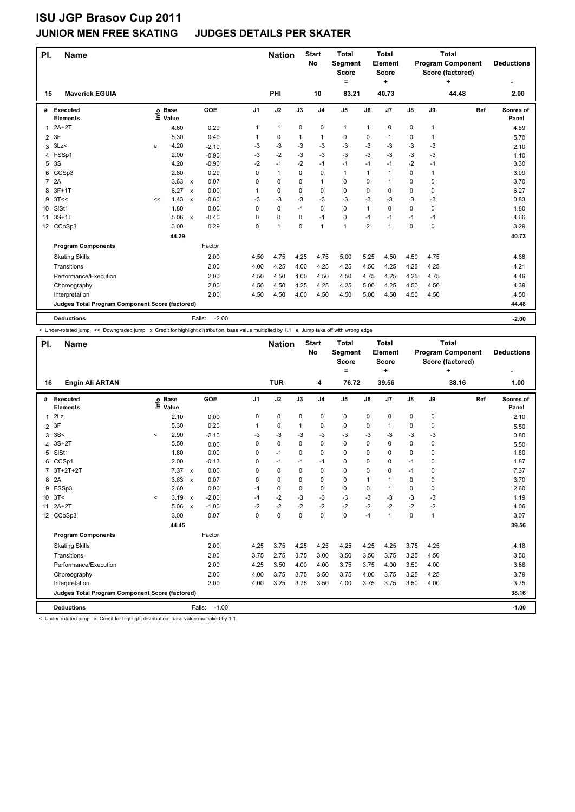### **JUNIOR MEN FREE SKATING JUDGES DETAILS PER SKATER**

| PI.            | <b>Name</b>                                     |      |                      |                           |                   |                | <b>Nation</b> |             | <b>Start</b><br><b>No</b> | <b>Total</b><br>Segment<br><b>Score</b><br>= |                | <b>Total</b><br>Element<br><b>Score</b><br>÷ |          | <b>Total</b><br><b>Program Component</b><br>Score (factored) | <b>Deductions</b> |                    |
|----------------|-------------------------------------------------|------|----------------------|---------------------------|-------------------|----------------|---------------|-------------|---------------------------|----------------------------------------------|----------------|----------------------------------------------|----------|--------------------------------------------------------------|-------------------|--------------------|
| 15             | <b>Maverick EGUIA</b>                           |      |                      |                           |                   |                | PHI           |             | 10                        | 83.21                                        |                | 40.73                                        |          |                                                              | 44.48             | 2.00               |
| #              | Executed<br><b>Elements</b>                     | ١ifo | <b>Base</b><br>Value |                           | GOE               | J <sub>1</sub> | J2            | J3          | J <sub>4</sub>            | J <sub>5</sub>                               | J6             | J7                                           | J8       | J9                                                           | Ref               | Scores of<br>Panel |
| 1              | $2A+2T$                                         |      | 4.60                 |                           | 0.29              | 1              | $\mathbf{1}$  | $\mathbf 0$ | 0                         | $\mathbf{1}$                                 | 1              | $\pmb{0}$                                    | 0        | $\mathbf{1}$                                                 |                   | 4.89               |
| $\overline{2}$ | 3F                                              |      | 5.30                 |                           | 0.40              | 1              | 0             | 1           | $\mathbf{1}$              | 0                                            | 0              | 1                                            | 0        | 1                                                            |                   | 5.70               |
| 3              | 3Lz                                             | e    | 4.20                 |                           | $-2.10$           | -3             | -3            | $-3$        | $-3$                      | $-3$                                         | $-3$           | $-3$                                         | $-3$     | $-3$                                                         |                   | 2.10               |
| 4              | FSSp1                                           |      | 2.00                 |                           | $-0.90$           | $-3$           | $-2$          | $-3$        | $-3$                      | $-3$                                         | $-3$           | $-3$                                         | $-3$     | -3                                                           |                   | 1.10               |
| 5              | 3S                                              |      | 4.20                 |                           | $-0.90$           | $-2$           | $-1$          | $-2$        | $-1$                      | $-1$                                         | $-1$           | $-1$                                         | $-2$     | $-1$                                                         |                   | 3.30               |
| 6              | CCSp3                                           |      | 2.80                 |                           | 0.29              | $\Omega$       | $\mathbf{1}$  | 0           | $\mathbf 0$               | $\mathbf{1}$                                 | 1              | 1                                            | 0        | 1                                                            |                   | 3.09               |
| $\overline{7}$ | 2A                                              |      | 3.63                 | $\mathsf{x}$              | 0.07              | 0              | 0             | 0           | $\mathbf{1}$              | 0                                            | 0              | -1                                           | 0        | $\Omega$                                                     |                   | 3.70               |
| 8              | $3F+1T$                                         |      | 6.27                 | $\mathsf{x}$              | 0.00              | 1              | 0             | 0           | $\mathbf 0$               | 0                                            | 0              | $\Omega$                                     | 0        | $\Omega$                                                     |                   | 6.27               |
| 9              | 3T<<                                            | <<   | 1.43                 | $\boldsymbol{\mathsf{x}}$ | $-0.60$           | -3             | -3            | $-3$        | $-3$                      | $-3$                                         | $-3$           | -3                                           | $-3$     | -3                                                           |                   | 0.83               |
| 10             | SISt1                                           |      | 1.80                 |                           | 0.00              | 0              | 0             | $-1$        | $\mathbf 0$               | 0                                            | 1              | 0                                            | 0        | 0                                                            |                   | 1.80               |
| 11             | $3S+1T$                                         |      | 5.06                 | $\mathsf{x}$              | $-0.40$           | 0              | $\mathbf 0$   | 0           | $-1$                      | 0                                            | $-1$           | $-1$                                         | $-1$     | -1                                                           |                   | 4.66               |
|                | 12 CCoSp3                                       |      | 3.00                 |                           | 0.29              | $\Omega$       | $\mathbf{1}$  | 0           | 1                         | 1                                            | $\overline{2}$ | 1                                            | $\Omega$ | 0                                                            |                   | 3.29               |
|                |                                                 |      | 44.29                |                           |                   |                |               |             |                           |                                              |                |                                              |          |                                                              |                   | 40.73              |
|                | <b>Program Components</b>                       |      |                      |                           | Factor            |                |               |             |                           |                                              |                |                                              |          |                                                              |                   |                    |
|                | <b>Skating Skills</b>                           |      |                      |                           | 2.00              | 4.50           | 4.75          | 4.25        | 4.75                      | 5.00                                         | 5.25           | 4.50                                         | 4.50     | 4.75                                                         |                   | 4.68               |
|                | Transitions                                     |      |                      |                           | 2.00              | 4.00           | 4.25          | 4.00        | 4.25                      | 4.25                                         | 4.50           | 4.25                                         | 4.25     | 4.25                                                         |                   | 4.21               |
|                | Performance/Execution                           |      |                      |                           | 2.00              | 4.50           | 4.50          | 4.00        | 4.50                      | 4.50                                         | 4.75           | 4.25                                         | 4.25     | 4.75                                                         |                   | 4.46               |
|                | Choreography                                    |      |                      |                           | 2.00              | 4.50           | 4.50          | 4.25        | 4.25                      | 4.25                                         | 5.00           | 4.25                                         | 4.50     | 4.50                                                         |                   | 4.39               |
|                | Interpretation                                  |      |                      |                           | 2.00              | 4.50           | 4.50          | 4.00        | 4.50                      | 4.50                                         | 5.00           | 4.50                                         | 4.50     | 4.50                                                         |                   | 4.50               |
|                | Judges Total Program Component Score (factored) |      |                      |                           |                   |                |               |             |                           |                                              |                |                                              | 44.48    |                                                              |                   |                    |
|                | <b>Deductions</b>                               |      |                      |                           | $-2.00$<br>Falls: |                |               |             |                           |                                              |                |                                              |          |                                                              |                   | $-2.00$            |

< Under-rotated jump << Downgraded jump x Credit for highlight distribution, base value multiplied by 1.1 e Jump take off with wrong edge

| PI.<br><b>Name</b><br>16 |                                                 |         |                            |                           |         |                | <b>Nation</b> |          | <b>Start</b><br><b>No</b> | <b>Total</b><br>Segment<br><b>Score</b><br>= |      | <b>Total</b><br>Element<br><b>Score</b><br>÷ |               |      | <b>Total</b><br><b>Program Component</b><br>Score (factored)<br>÷ | <b>Deductions</b>  |
|--------------------------|-------------------------------------------------|---------|----------------------------|---------------------------|---------|----------------|---------------|----------|---------------------------|----------------------------------------------|------|----------------------------------------------|---------------|------|-------------------------------------------------------------------|--------------------|
|                          | <b>Engin Ali ARTAN</b>                          |         |                            |                           |         |                | <b>TUR</b>    |          | 4                         | 76.72                                        |      | 39.56                                        |               |      | 38.16                                                             | 1.00               |
| #                        | Executed<br><b>Elements</b>                     |         | e Base<br>E Value<br>Value |                           | GOE     | J <sub>1</sub> | J2            | J3       | J <sub>4</sub>            | J5                                           | J6   | J7                                           | $\mathsf{J}8$ | J9   | Ref                                                               | Scores of<br>Panel |
| 1                        | 2Lz                                             |         | 2.10                       |                           | 0.00    | 0              | 0             | 0        | 0                         | 0                                            | 0    | 0                                            | 0             | 0    |                                                                   | 2.10               |
| $\overline{2}$           | 3F                                              |         | 5.30                       |                           | 0.20    |                | $\mathbf 0$   | 1        | 0                         | 0                                            | 0    | 1                                            | 0             | 0    |                                                                   | 5.50               |
| 3                        | 3S<                                             | $\prec$ | 2.90                       |                           | $-2.10$ | -3             | $-3$          | -3       | $-3$                      | $-3$                                         | $-3$ | $-3$                                         | $-3$          | $-3$ |                                                                   | 0.80               |
| 4                        | $3S+2T$                                         |         | 5.50                       |                           | 0.00    | 0              | $\mathbf 0$   | $\Omega$ | 0                         | $\mathbf 0$                                  | 0    | $\Omega$                                     | $\Omega$      | 0    |                                                                   | 5.50               |
| 5                        | SISt1                                           |         | 1.80                       |                           | 0.00    | 0              | $-1$          | 0        | 0                         | 0                                            | 0    | 0                                            | 0             | 0    |                                                                   | 1.80               |
| 6                        | CCSp1                                           |         | 2.00                       |                           | $-0.13$ | 0              | $-1$          | -1       | $-1$                      | 0                                            | 0    | 0                                            | $-1$          | 0    |                                                                   | 1.87               |
| $\overline{7}$           | $3T+2T+2T$                                      |         | 7.37                       | $\mathsf{x}$              | 0.00    | 0              | $\mathbf 0$   | $\Omega$ | $\mathbf 0$               | 0                                            | 0    | $\Omega$                                     | $-1$          | 0    |                                                                   | 7.37               |
| 8                        | 2A                                              |         | 3.63                       | $\boldsymbol{\mathsf{x}}$ | 0.07    | 0              | $\mathbf 0$   | 0        | 0                         | 0                                            | 1    | 1                                            | 0             | 0    |                                                                   | 3.70               |
| 9                        | FSSp3                                           |         | 2.60                       |                           | 0.00    | $-1$           | 0             | $\Omega$ | 0                         | 0                                            | 0    | 1                                            | 0             | 0    |                                                                   | 2.60               |
| 10 <sup>°</sup>          | 3T<                                             | $\prec$ | 3.19                       | $\mathsf{x}$              | $-2.00$ | $-1$           | $-2$          | $-3$     | $-3$                      | $-3$                                         | $-3$ | $-3$                                         | $-3$          | $-3$ |                                                                   | 1.19               |
| 11                       | $2A+2T$                                         |         | 5.06                       | $\mathsf{x}$              | $-1.00$ | $-2$           | $-2$          | $-2$     | $-2$                      | $-2$                                         | $-2$ | $-2$                                         | $-2$          | $-2$ |                                                                   | 4.06               |
|                          | 12 CCoSp3                                       |         | 3.00                       |                           | 0.07    | 0              | $\mathbf 0$   | $\Omega$ | 0                         | $\mathbf 0$                                  | $-1$ | 1                                            | 0             | 1    |                                                                   | 3.07               |
|                          |                                                 |         | 44.45                      |                           |         |                |               |          |                           |                                              |      |                                              |               |      |                                                                   | 39.56              |
|                          | <b>Program Components</b>                       |         |                            |                           | Factor  |                |               |          |                           |                                              |      |                                              |               |      |                                                                   |                    |
|                          | <b>Skating Skills</b>                           |         |                            |                           | 2.00    | 4.25           | 3.75          | 4.25     | 4.25                      | 4.25                                         | 4.25 | 4.25                                         | 3.75          | 4.25 |                                                                   | 4.18               |
|                          | Transitions                                     |         |                            |                           | 2.00    | 3.75           | 2.75          | 3.75     | 3.00                      | 3.50                                         | 3.50 | 3.75                                         | 3.25          | 4.50 |                                                                   | 3.50               |
|                          | Performance/Execution                           |         |                            |                           | 2.00    | 4.25           | 3.50          | 4.00     | 4.00                      | 3.75                                         | 3.75 | 4.00                                         | 3.50          | 4.00 |                                                                   | 3.86               |
|                          | Choreography                                    |         |                            |                           | 2.00    | 4.00           | 3.75          | 3.75     | 3.50                      | 3.75                                         | 4.00 | 3.75                                         | 3.25          | 4.25 |                                                                   | 3.79               |
|                          | Interpretation                                  |         |                            |                           | 2.00    | 4.00           | 3.25          | 3.75     | 3.50                      | 4.00                                         | 3.75 | 3.75                                         | 3.50          | 4.00 |                                                                   | 3.75               |
|                          | Judges Total Program Component Score (factored) |         |                            |                           |         |                |               |          |                           |                                              |      |                                              |               |      |                                                                   | 38.16              |
|                          | <b>Deductions</b>                               |         |                            | Falls:                    | $-1.00$ |                |               |          |                           |                                              |      |                                              |               |      |                                                                   | $-1.00$            |

< Under-rotated jump x Credit for highlight distribution, base value multiplied by 1.1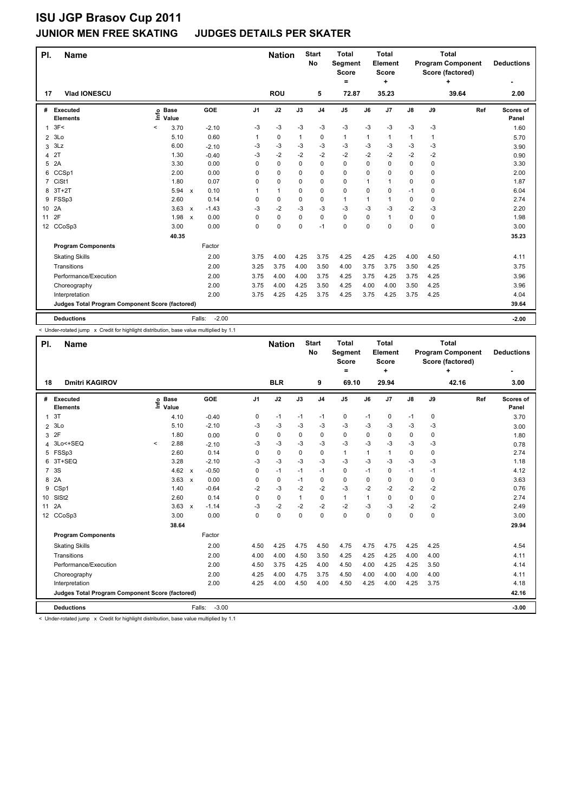### **JUNIOR MEN FREE SKATING JUDGES DETAILS PER SKATER**

| PI.             | <b>Name</b>                                     |                            |                      |                   |                | <b>Nation</b> |          | <b>Start</b><br><b>No</b> | <b>Total</b><br>Segment<br>Score<br>= |          | <b>Total</b><br>Element<br>Score<br>٠ |      | <b>Total</b><br><b>Program Component</b><br>Score (factored) | <b>Deductions</b> |                    |
|-----------------|-------------------------------------------------|----------------------------|----------------------|-------------------|----------------|---------------|----------|---------------------------|---------------------------------------|----------|---------------------------------------|------|--------------------------------------------------------------|-------------------|--------------------|
| 17              | Vlad IONESCU                                    |                            |                      |                   |                | <b>ROU</b>    |          | 5                         | 72.87                                 |          | 35.23                                 |      |                                                              | 39.64             | 2.00               |
| #               | Executed<br><b>Elements</b>                     | e Base<br>E Value<br>Value |                      | GOE               | J <sub>1</sub> | J2            | J3       | J <sub>4</sub>            | J <sub>5</sub>                        | J6       | J <sub>7</sub>                        | J8   | J9                                                           | Ref               | Scores of<br>Panel |
| 1               | 3F<                                             | $\,<\,$<br>3.70            |                      | $-2.10$           | -3             | -3            | $-3$     | $-3$                      | $-3$                                  | $-3$     | $-3$                                  | $-3$ | $-3$                                                         |                   | 1.60               |
| $\overline{2}$  | 3Lo                                             | 5.10                       |                      | 0.60              | 1              | 0             | 1        | 0                         | $\mathbf{1}$                          | 1        | $\mathbf 1$                           | 1    | 1                                                            |                   | 5.70               |
| 3               | 3Lz                                             | 6.00                       |                      | $-2.10$           | -3             | -3            | $-3$     | $-3$                      | $-3$                                  | $-3$     | $-3$                                  | $-3$ | $-3$                                                         |                   | 3.90               |
| 4               | 2T                                              | 1.30                       |                      | $-0.40$           | -3             | $-2$          | $-2$     | $-2$                      | $-2$                                  | $-2$     | $-2$                                  | $-2$ | $-2$                                                         |                   | 0.90               |
| 5               | 2A                                              | 3.30                       |                      | 0.00              | 0              | 0             | $\Omega$ | $\mathbf 0$               | 0                                     | 0        | $\mathbf 0$                           | 0    | $\mathbf 0$                                                  |                   | 3.30               |
| 6               | CCSp1                                           | 2.00                       |                      | 0.00              | $\Omega$       | 0             | 0        | $\mathbf 0$               | $\Omega$                              | 0        | $\Omega$                              | 0    | $\Omega$                                                     |                   | 2.00               |
| $\overline{7}$  | CiSt1                                           | 1.80                       |                      | 0.07              | $\Omega$       | 0             | 0        | $\mathbf 0$               | 0                                     | 1        | $\overline{1}$                        | 0    | $\Omega$                                                     |                   | 1.87               |
| 8               | $3T+2T$                                         |                            | 5.94<br>$\mathsf{x}$ | 0.10              |                | $\mathbf{1}$  | 0        | $\mathbf 0$               | 0                                     | 0        | 0                                     | $-1$ | 0                                                            |                   | 6.04               |
| 9               | FSSp3                                           | 2.60                       |                      | 0.14              | 0              | 0             | 0        | 0                         | $\mathbf{1}$                          | 1        | $\mathbf{1}$                          | 0    | $\Omega$                                                     |                   | 2.74               |
| 10 <sup>°</sup> | 2A                                              |                            | 3.63<br>$\mathsf{x}$ | $-1.43$           | -3             | $-2$          | $-3$     | -3                        | $-3$                                  | $-3$     | $-3$                                  | $-2$ | $-3$                                                         |                   | 2.20               |
| 11              | 2F                                              |                            | 1.98<br>$\mathsf{x}$ | 0.00              | $\Omega$       | 0             | 0        | 0                         | 0                                     | $\Omega$ | $\mathbf{1}$                          | 0    | 0                                                            |                   | 1.98               |
|                 | 12 CCoSp3                                       | 3.00                       |                      | 0.00              | 0              | 0             | 0        | $-1$                      | 0                                     | 0        | 0                                     | 0    | $\mathbf 0$                                                  |                   | 3.00               |
|                 |                                                 |                            | 40.35                |                   |                |               |          |                           |                                       |          |                                       |      |                                                              |                   | 35.23              |
|                 | <b>Program Components</b>                       |                            |                      | Factor            |                |               |          |                           |                                       |          |                                       |      |                                                              |                   |                    |
|                 | <b>Skating Skills</b>                           |                            |                      | 2.00              | 3.75           | 4.00          | 4.25     | 3.75                      | 4.25                                  | 4.25     | 4.25                                  | 4.00 | 4.50                                                         |                   | 4.11               |
|                 | Transitions                                     |                            |                      | 2.00              | 3.25           | 3.75          | 4.00     | 3.50                      | 4.00                                  | 3.75     | 3.75                                  | 3.50 | 4.25                                                         |                   | 3.75               |
|                 | Performance/Execution                           |                            |                      | 2.00              | 3.75           | 4.00          | 4.00     | 3.75                      | 4.25                                  | 3.75     | 4.25                                  | 3.75 | 4.25                                                         |                   | 3.96               |
|                 | Choreography                                    |                            |                      | 2.00              | 3.75           | 4.00          | 4.25     | 3.50                      | 4.25                                  | 4.00     | 4.00                                  | 3.50 | 4.25                                                         |                   | 3.96               |
|                 | Interpretation                                  |                            |                      | 2.00              | 3.75           | 4.25          | 4.25     | 3.75                      | 4.25                                  | 3.75     | 4.25                                  | 3.75 | 4.25                                                         |                   | 4.04               |
|                 | Judges Total Program Component Score (factored) |                            |                      |                   |                |               |          |                           |                                       |          |                                       |      |                                                              |                   | 39.64              |
|                 | <b>Deductions</b>                               |                            |                      | $-2.00$<br>Falls: |                |               |          |                           |                                       |          |                                       |      |                                                              |                   | $-2.00$            |

< Under-rotated jump x Credit for highlight distribution, base value multiplied by 1.1

| PI.                                             | <b>Name</b>                 |         |                      |                           |                   |                | <b>Nation</b> |          | <b>Start</b><br><b>No</b> | <b>Total</b><br>Segment<br><b>Score</b><br>= |          | <b>Total</b><br>Element<br><b>Score</b><br>÷ |               |          | <b>Total</b><br><b>Program Component</b><br>Score (factored)<br>÷ | <b>Deductions</b>  |
|-------------------------------------------------|-----------------------------|---------|----------------------|---------------------------|-------------------|----------------|---------------|----------|---------------------------|----------------------------------------------|----------|----------------------------------------------|---------------|----------|-------------------------------------------------------------------|--------------------|
| 18                                              | <b>Dmitri KAGIROV</b>       |         |                      |                           |                   |                | <b>BLR</b>    |          | 9                         | 69.10                                        |          | 29.94                                        |               |          | 42.16                                                             | 3.00               |
| #                                               | Executed<br><b>Elements</b> | ١nf٥    | <b>Base</b><br>Value |                           | GOE               | J <sub>1</sub> | J2            | J3       | J <sub>4</sub>            | J <sub>5</sub>                               | J6       | J7                                           | $\mathsf{J}8$ | J9       | Ref                                                               | Scores of<br>Panel |
| $\mathbf{1}$                                    | 3T                          |         | 4.10                 |                           | $-0.40$           | 0              | $-1$          | $-1$     | $-1$                      | 0                                            | $-1$     | 0                                            | $-1$          | 0        |                                                                   | 3.70               |
| 2                                               | 3Lo                         |         | 5.10                 |                           | $-2.10$           | -3             | $-3$          | -3       | $-3$                      | $-3$                                         | -3       | $-3$                                         | $-3$          | $-3$     |                                                                   | 3.00               |
| 3                                               | 2F                          |         | 1.80                 |                           | 0.00              | $\Omega$       | $\mathbf 0$   | $\Omega$ | $\mathbf 0$               | $\Omega$                                     | 0        | 0                                            | 0             | 0        |                                                                   | 1.80               |
| 4                                               | 3Lo<+SEQ                    | $\prec$ | 2.88                 |                           | $-2.10$           | -3             | $-3$          | -3       | -3                        | $-3$                                         | $-3$     | $-3$                                         | $-3$          | $-3$     |                                                                   | 0.78               |
| 5                                               | FSSp3                       |         | 2.60                 |                           | 0.14              | 0              | $\mathbf 0$   | $\Omega$ | $\mathbf 0$               | $\mathbf{1}$                                 | 1        | 1                                            | 0             | 0        |                                                                   | 2.74               |
| 6                                               | 3T+SEQ                      |         | 3.28                 |                           | $-2.10$           | $-3$           | $-3$          | -3       | $-3$                      | $-3$                                         | $-3$     | $-3$                                         | $-3$          | $-3$     |                                                                   | 1.18               |
| $\overline{7}$                                  | 3S                          |         | 4.62                 | $\boldsymbol{\mathsf{x}}$ | $-0.50$           | 0              | $-1$          | $-1$     | $-1$                      | 0                                            | $-1$     | 0                                            | $-1$          | $-1$     |                                                                   | 4.12               |
| 8                                               | 2A                          |         | 3.63                 | $\boldsymbol{\mathsf{x}}$ | 0.00              | $\Omega$       | $\mathbf 0$   | $-1$     | $\mathbf 0$               | $\Omega$                                     | $\Omega$ | $\Omega$                                     | 0             | 0        |                                                                   | 3.63               |
| 9                                               | CSp1                        |         | 1.40                 |                           | $-0.64$           | $-2$           | $-3$          | $-2$     | $-2$                      | $-3$                                         | $-2$     | $-2$                                         | $-2$          | $-2$     |                                                                   | 0.76               |
| 10 <sup>1</sup>                                 | SISt <sub>2</sub>           |         | 2.60                 |                           | 0.14              | $\Omega$       | $\Omega$      | 1        | $\mathbf 0$               | $\mathbf{1}$                                 | 1        | $\Omega$                                     | 0             | $\Omega$ |                                                                   | 2.74               |
| 11                                              | 2A                          |         | 3.63                 | $\mathbf{x}$              | $-1.14$           | $-3$           | $-2$          | $-2$     | $-2$                      | $-2$                                         | $-3$     | $-3$                                         | $-2$          | $-2$     |                                                                   | 2.49               |
| 12 <sup>°</sup>                                 | CCoSp3                      |         | 3.00                 |                           | 0.00              | $\Omega$       | $\mathbf 0$   | $\Omega$ | $\mathbf 0$               | $\Omega$                                     | $\Omega$ | $\Omega$                                     | 0             | 0        |                                                                   | 3.00               |
|                                                 |                             |         | 38.64                |                           |                   |                |               |          |                           |                                              |          |                                              |               |          |                                                                   | 29.94              |
|                                                 | <b>Program Components</b>   |         |                      |                           | Factor            |                |               |          |                           |                                              |          |                                              |               |          |                                                                   |                    |
|                                                 | <b>Skating Skills</b>       |         |                      |                           | 2.00              | 4.50           | 4.25          | 4.75     | 4.50                      | 4.75                                         | 4.75     | 4.75                                         | 4.25          | 4.25     |                                                                   | 4.54               |
|                                                 | Transitions                 |         |                      |                           | 2.00              | 4.00           | 4.00          | 4.50     | 3.50                      | 4.25                                         | 4.25     | 4.25                                         | 4.00          | 4.00     |                                                                   | 4.11               |
|                                                 | Performance/Execution       |         |                      |                           | 2.00              | 4.50           | 3.75          | 4.25     | 4.00                      | 4.50                                         | 4.00     | 4.25                                         | 4.25          | 3.50     |                                                                   | 4.14               |
|                                                 | Choreography                |         |                      |                           | 2.00              | 4.25           | 4.00          | 4.75     | 3.75                      | 4.50                                         | 4.00     | 4.00                                         | 4.00          | 4.00     |                                                                   | 4.11               |
|                                                 | Interpretation              |         |                      |                           | 2.00              | 4.25           | 4.00          | 4.50     | 4.00                      | 4.50                                         | 4.25     | 4.00                                         | 4.25          | 3.75     |                                                                   | 4.18               |
| Judges Total Program Component Score (factored) |                             |         |                      |                           |                   |                |               |          |                           |                                              |          |                                              |               |          |                                                                   | 42.16              |
|                                                 | <b>Deductions</b>           |         |                      |                           | $-3.00$<br>Falls: |                |               |          |                           |                                              |          |                                              |               |          |                                                                   | $-3.00$            |

< Under-rotated jump x Credit for highlight distribution, base value multiplied by 1.1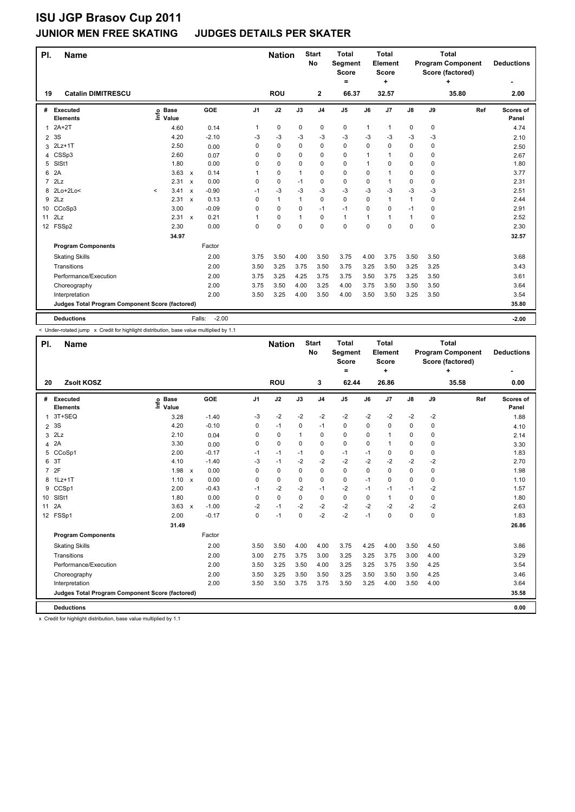### **JUNIOR MEN FREE SKATING JUDGES DETAILS PER SKATER**

| PI.            | <b>Name</b>                                     |         |                      |                           |                   |                | <b>Nation</b> |              | <b>Start</b><br><b>No</b> | <b>Total</b><br>Segment<br><b>Score</b> |      | <b>Total</b><br>Element<br><b>Score</b><br>÷ |               | <b>Total</b><br><b>Program Component</b><br>Score (factored) | <b>Deductions</b> |                    |
|----------------|-------------------------------------------------|---------|----------------------|---------------------------|-------------------|----------------|---------------|--------------|---------------------------|-----------------------------------------|------|----------------------------------------------|---------------|--------------------------------------------------------------|-------------------|--------------------|
| 19             | <b>Catalin DIMITRESCU</b>                       |         |                      |                           |                   |                | <b>ROU</b>    |              | $\mathbf{2}$              | 66.37                                   |      | 32.57                                        |               |                                                              | 35.80             | 2.00               |
| #              | Executed<br><b>Elements</b>                     | lnfo    | <b>Base</b><br>Value |                           | GOE               | J <sub>1</sub> | J2            | J3           | J <sub>4</sub>            | J <sub>5</sub>                          | J6   | J7                                           | $\mathsf{J}8$ | J9                                                           | Ref               | Scores of<br>Panel |
| 1              | $2A+2T$                                         |         | 4.60                 |                           | 0.14              | 1              | $\pmb{0}$     | 0            | $\pmb{0}$                 | 0                                       | 1    | $\mathbf{1}$                                 | 0             | $\mathbf 0$                                                  |                   | 4.74               |
| $\overline{2}$ | 3S                                              |         | 4.20                 |                           | $-2.10$           | -3             | $-3$          | -3           | $-3$                      | $-3$                                    | $-3$ | $-3$                                         | $-3$          | -3                                                           |                   | 2.10               |
| 3              | $2Lz+1T$                                        |         | 2.50                 |                           | 0.00              | 0              | $\mathbf 0$   | $\mathbf 0$  | $\mathbf 0$               | $\mathbf 0$                             | 0    | 0                                            | 0             | 0                                                            |                   | 2.50               |
| 4              | CSSp3                                           |         | 2.60                 |                           | 0.07              | 0              | $\mathbf 0$   | 0            | 0                         | $\mathbf 0$                             | 1    | 1                                            | 0             | 0                                                            |                   | 2.67               |
| 5              | SISt1                                           |         | 1.80                 |                           | 0.00              | 0              | $\mathbf 0$   | 0            | 0                         | $\mathbf 0$                             | 1    | 0                                            | 0             | 0                                                            |                   | 1.80               |
| 6              | 2A                                              |         | 3.63                 | $\mathsf{x}$              | 0.14              |                | $\mathbf 0$   | $\mathbf{1}$ | 0                         | $\mathbf 0$                             | 0    | $\mathbf{1}$                                 | 0             | 0                                                            |                   | 3.77               |
| $\overline{7}$ | 2Lz                                             |         | 2.31                 | $\mathsf{x}$              | 0.00              | 0              | $\mathbf 0$   | $-1$         | $\mathbf 0$               | $\mathbf 0$                             | 0    | $\mathbf{1}$                                 | 0             | 0                                                            |                   | 2.31               |
| 8              | 2Lo+2Lo<                                        | $\prec$ | 3.41                 | $\boldsymbol{\mathsf{x}}$ | $-0.90$           | $-1$           | $-3$          | $-3$         | $-3$                      | $-3$                                    | $-3$ | -3                                           | $-3$          | $-3$                                                         |                   | 2.51               |
| 9              | 2Lz                                             |         | 2.31                 | $\boldsymbol{\mathsf{x}}$ | 0.13              | 0              | $\mathbf{1}$  | $\mathbf{1}$ | $\mathbf 0$               | $\mathbf 0$                             | 0    | $\mathbf{1}$                                 | $\mathbf{1}$  | 0                                                            |                   | 2.44               |
| 10             | CCoSp3                                          |         | 3.00                 |                           | $-0.09$           | 0              | $\mathbf 0$   | $\Omega$     | $-1$                      | $-1$                                    | 0    | 0                                            | $-1$          | 0                                                            |                   | 2.91               |
| 11             | 2Lz                                             |         | $2.31 \times$        |                           | 0.21              |                | $\mathbf 0$   | 1            | $\mathbf 0$               | 1                                       | 1    | 1                                            | $\mathbf{1}$  | 0                                                            |                   | 2.52               |
| 12             | FSSp2                                           |         | 2.30                 |                           | 0.00              | 0              | $\mathbf 0$   | $\Omega$     | 0                         | $\Omega$                                | 0    | 0                                            | 0             | $\Omega$                                                     |                   | 2.30               |
|                |                                                 |         | 34.97                |                           |                   |                |               |              |                           |                                         |      |                                              |               |                                                              |                   | 32.57              |
|                | <b>Program Components</b>                       |         |                      |                           | Factor            |                |               |              |                           |                                         |      |                                              |               |                                                              |                   |                    |
|                | <b>Skating Skills</b>                           |         |                      |                           | 2.00              | 3.75           | 3.50          | 4.00         | 3.50                      | 3.75                                    | 4.00 | 3.75                                         | 3.50          | 3.50                                                         |                   | 3.68               |
|                | Transitions                                     |         |                      |                           | 2.00              | 3.50           | 3.25          | 3.75         | 3.50                      | 3.75                                    | 3.25 | 3.50                                         | 3.25          | 3.25                                                         |                   | 3.43               |
|                | Performance/Execution                           |         |                      |                           | 2.00              | 3.75           | 3.25          | 4.25         | 3.75                      | 3.75                                    | 3.50 | 3.75                                         | 3.25          | 3.50                                                         |                   | 3.61               |
|                | Choreography                                    |         |                      |                           | 2.00              | 3.75           | 3.50          | 4.00         | 3.25                      | 4.00                                    | 3.75 | 3.50                                         | 3.50          | 3.50                                                         |                   | 3.64               |
|                | Interpretation                                  |         |                      |                           | 2.00              | 3.50           | 3.25          | 4.00         | 3.50                      | 4.00                                    | 3.50 | 3.50                                         | 3.25          | 3.50                                                         |                   | 3.54               |
|                | Judges Total Program Component Score (factored) |         |                      |                           |                   |                |               |              |                           |                                         |      |                                              |               |                                                              |                   | 35.80              |
|                | <b>Deductions</b>                               |         |                      |                           | $-2.00$<br>Falls: |                |               |              |                           |                                         |      |                                              |               |                                                              |                   | $-2.00$            |

< Under-rotated jump x Credit for highlight distribution, base value multiplied by 1.1

|                | PI.<br><b>Name</b>                              |                                  |              |         |                | <b>Nation</b> |              | <b>Start</b><br>No | <b>Total</b><br><b>Segment</b><br><b>Score</b><br>Ξ. |          | <b>Total</b><br>Element<br><b>Score</b><br>٠ |          |             | <b>Total</b><br><b>Program Component</b><br>Score (factored)<br>÷ | <b>Deductions</b>  |
|----------------|-------------------------------------------------|----------------------------------|--------------|---------|----------------|---------------|--------------|--------------------|------------------------------------------------------|----------|----------------------------------------------|----------|-------------|-------------------------------------------------------------------|--------------------|
| 20             | Zsolt KOSZ                                      |                                  |              |         |                | <b>ROU</b>    |              | 3                  | 62.44                                                |          | 26.86                                        |          |             | 35.58                                                             | 0.00               |
| #              | Executed<br><b>Elements</b>                     | <b>Base</b><br>e Base<br>⊆ Value |              | GOE     | J <sub>1</sub> | J2            | J3           | J <sub>4</sub>     | J <sub>5</sub>                                       | J6       | J7                                           | J8       | J9          | Ref                                                               | Scores of<br>Panel |
| 1              | 3T+SEQ                                          | 3.28                             |              | $-1.40$ | -3             | $-2$          | $-2$         | $-2$               | $-2$                                                 | $-2$     | $-2$                                         | $-2$     | $-2$        |                                                                   | 1.88               |
| $\overline{2}$ | 3S                                              | 4.20                             |              | $-0.10$ | $\Omega$       | $-1$          | $\mathbf 0$  | $-1$               | $\mathbf 0$                                          | $\Omega$ | $\Omega$                                     | $\Omega$ | 0           |                                                                   | 4.10               |
| 3              | 2Lz                                             | 2.10                             |              | 0.04    | $\Omega$       | $\mathbf 0$   | $\mathbf{1}$ | $\mathbf 0$        | 0                                                    | $\Omega$ | 1                                            | 0        | $\Omega$    |                                                                   | 2.14               |
| 4              | 2A                                              | 3.30                             |              | 0.00    | $\Omega$       | $\mathbf 0$   | $\Omega$     | $\Omega$           | $\mathbf 0$                                          | $\Omega$ | 1                                            | 0        | 0           |                                                                   | 3.30               |
| 5              | CCoSp1                                          | 2.00                             |              | $-0.17$ | $-1$           | $-1$          | $-1$         | 0                  | $-1$                                                 | $-1$     | 0                                            | 0        | 0           |                                                                   | 1.83               |
| 6              | 3T                                              | 4.10                             |              | $-1.40$ | $-3$           | $-1$          | $-2$         | $-2$               | $-2$                                                 | $-2$     | $-2$                                         | $-2$     | $-2$        |                                                                   | 2.70               |
| $\overline{7}$ | 2F                                              | 1.98                             | $\mathsf{x}$ | 0.00    | $\Omega$       | $\mathbf 0$   | $\Omega$     | $\mathbf 0$        | $\mathbf 0$                                          | $\Omega$ | 0                                            | 0        | 0           |                                                                   | 1.98               |
| 8              | $1Lz+1T$                                        | 1.10                             | $\mathsf{x}$ | 0.00    | $\Omega$       | $\mathbf 0$   | $\mathbf 0$  | $\mathbf 0$        | 0                                                    | $-1$     | 0                                            | 0        | $\mathbf 0$ |                                                                   | 1.10               |
| 9              | CCSp1                                           | 2.00                             |              | $-0.43$ | $-1$           | $-2$          | $-2$         | $-1$               | $-2$                                                 | $-1$     | $-1$                                         | $-1$     | $-2$        |                                                                   | 1.57               |
| 10             | SISt1                                           | 1.80                             |              | 0.00    | 0              | $\mathbf 0$   | $\Omega$     | 0                  | $\mathbf 0$                                          | $\Omega$ | $\mathbf{1}$                                 | $\Omega$ | 0           |                                                                   | 1.80               |
| 11             | 2A                                              | 3.63                             | $\mathsf{x}$ | $-1.00$ | $-2$           | $-1$          | $-2$         | $-2$               | $-2$                                                 | $-2$     | $-2$                                         | $-2$     | $-2$        |                                                                   | 2.63               |
|                | 12 FSSp1                                        | 2.00                             |              | $-0.17$ | $\Omega$       | $-1$          | $\Omega$     | $-2$               | $-2$                                                 | $-1$     | $\Omega$                                     | $\Omega$ | $\Omega$    |                                                                   | 1.83               |
|                |                                                 | 31.49                            |              |         |                |               |              |                    |                                                      |          |                                              |          |             |                                                                   | 26.86              |
|                | <b>Program Components</b>                       |                                  |              | Factor  |                |               |              |                    |                                                      |          |                                              |          |             |                                                                   |                    |
|                | <b>Skating Skills</b>                           |                                  |              | 2.00    | 3.50           | 3.50          | 4.00         | 4.00               | 3.75                                                 | 4.25     | 4.00                                         | 3.50     | 4.50        |                                                                   | 3.86               |
|                | Transitions                                     |                                  |              | 2.00    | 3.00           | 2.75          | 3.75         | 3.00               | 3.25                                                 | 3.25     | 3.75                                         | 3.00     | 4.00        |                                                                   | 3.29               |
|                | Performance/Execution                           |                                  |              | 2.00    | 3.50           | 3.25          | 3.50         | 4.00               | 3.25                                                 | 3.25     | 3.75                                         | 3.50     | 4.25        |                                                                   | 3.54               |
|                | Choreography                                    |                                  |              | 2.00    | 3.50           | 3.25          | 3.50         | 3.50               | 3.25                                                 | 3.50     | 3.50                                         | 3.50     | 4.25        |                                                                   | 3.46               |
|                | Interpretation                                  |                                  |              | 2.00    | 3.50           | 3.50          | 3.75         | 3.75               | 3.50                                                 | 3.25     | 4.00                                         | 3.50     | 4.00        |                                                                   | 3.64               |
|                | Judges Total Program Component Score (factored) |                                  |              |         |                |               |              |                    |                                                      |          |                                              |          |             |                                                                   | 35.58              |
|                | <b>Deductions</b>                               |                                  |              |         |                |               |              |                    |                                                      |          |                                              |          |             |                                                                   | 0.00               |